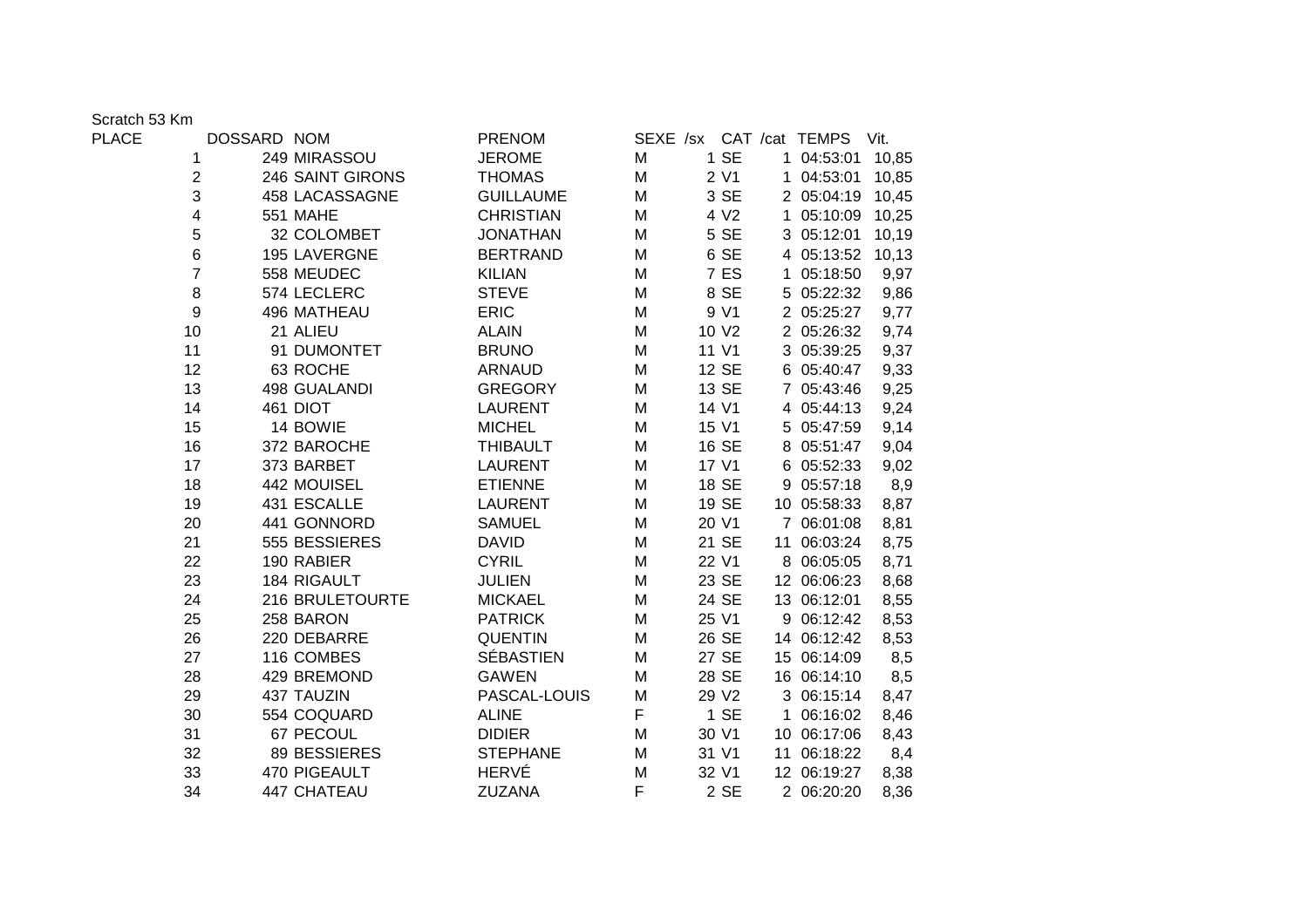Scratch 53 Km

| PLACE |                | DOSSARD NOM |                  | <b>PRENOM</b>    |   |                   |   | SEXE /sx CAT /cat TEMPS | Vit.  |  |
|-------|----------------|-------------|------------------|------------------|---|-------------------|---|-------------------------|-------|--|
|       | 1              |             | 249 MIRASSOU     | <b>JEROME</b>    | Μ | 1 SE              |   | 1 04:53:01              | 10,85 |  |
|       | $\overline{2}$ |             | 246 SAINT GIRONS | <b>THOMAS</b>    | M | 2 V1              |   | 1 04:53:01              | 10,85 |  |
|       | 3              |             | 458 LACASSAGNE   | <b>GUILLAUME</b> | M | 3 SE              |   | 2 05:04:19              | 10,45 |  |
|       | 4              |             | <b>551 MAHE</b>  | <b>CHRISTIAN</b> | Μ | 4 V <sub>2</sub>  |   | 1 05:10:09              | 10,25 |  |
|       | 5              |             | 32 COLOMBET      | <b>JONATHAN</b>  | M | 5 SE              |   | 3 05:12:01              | 10,19 |  |
|       | 6              |             | 195 LAVERGNE     | <b>BERTRAND</b>  | Μ | 6 SE              |   | 4 05:13:52              | 10,13 |  |
|       | $\overline{7}$ |             | 558 MEUDEC       | <b>KILIAN</b>    | M | 7 ES              |   | 1 05:18:50              | 9,97  |  |
|       | 8              |             | 574 LECLERC      | <b>STEVE</b>     | M | 8 SE              |   | 5 05:22:32              | 9,86  |  |
|       | 9              |             | 496 MATHEAU      | <b>ERIC</b>      | M | 9 V1              |   | 2 05:25:27              | 9,77  |  |
|       | 10             |             | 21 ALIEU         | <b>ALAIN</b>     | M | 10 V <sub>2</sub> |   | 2 05:26:32              | 9,74  |  |
|       | 11             |             | 91 DUMONTET      | <b>BRUNO</b>     | M | 11 V1             |   | 3 05:39:25              | 9,37  |  |
|       | 12             |             | 63 ROCHE         | <b>ARNAUD</b>    | M | 12 SE             |   | 6 05:40:47              | 9,33  |  |
|       | 13             |             | 498 GUALANDI     | <b>GREGORY</b>   | M | 13 SE             |   | 7 05:43:46              | 9,25  |  |
|       | 14             |             | 461 DIOT         | <b>LAURENT</b>   | M | 14 V1             |   | 4 05:44:13              | 9,24  |  |
|       | 15             |             | 14 BOWIE         | <b>MICHEL</b>    | M | 15 V1             |   | 5 05:47:59              | 9,14  |  |
|       | 16             |             | 372 BAROCHE      | <b>THIBAULT</b>  | Μ | 16 SE             |   | 8 05:51:47              | 9,04  |  |
|       | 17             |             | 373 BARBET       | <b>LAURENT</b>   | M | 17 V1             |   | 6 05:52:33              | 9,02  |  |
|       | 18             |             | 442 MOUISEL      | <b>ETIENNE</b>   | M | 18 SE             |   | 9 05:57:18              | 8,9   |  |
|       | 19             |             | 431 ESCALLE      | <b>LAURENT</b>   | M | 19 SE             |   | 10 05:58:33             | 8,87  |  |
|       | 20             |             | 441 GONNORD      | <b>SAMUEL</b>    | Μ | 20 V1             |   | 7 06:01:08              | 8,81  |  |
|       | 21             |             | 555 BESSIERES    | <b>DAVID</b>     | M | 21 SE             |   | 11 06:03:24             | 8,75  |  |
|       | 22             |             | 190 RABIER       | <b>CYRIL</b>     | M | 22 V1             |   | 8 06:05:05              | 8,71  |  |
|       | 23             |             | 184 RIGAULT      | <b>JULIEN</b>    | M | 23 SE             |   | 12 06:06:23             | 8,68  |  |
|       | 24             |             | 216 BRULETOURTE  | <b>MICKAEL</b>   | M | 24 SE             |   | 13 06:12:01             | 8,55  |  |
|       | 25             |             | 258 BARON        | <b>PATRICK</b>   | M | 25 V1             |   | 9 06:12:42              | 8,53  |  |
|       | 26             |             | 220 DEBARRE      | <b>QUENTIN</b>   | M | 26 SE             |   | 14 06:12:42             | 8,53  |  |
|       | 27             |             | 116 COMBES       | <b>SÉBASTIEN</b> | M | 27 SE             |   | 15 06:14:09             | 8,5   |  |
|       | 28             |             | 429 BREMOND      | <b>GAWEN</b>     | M | 28 SE             |   | 16 06:14:10             | 8,5   |  |
|       | 29             |             | 437 TAUZIN       | PASCAL-LOUIS     | M | 29 V2             |   | 3 06:15:14              | 8,47  |  |
|       | 30             |             | 554 COQUARD      | <b>ALINE</b>     | F | 1 SE              | 1 | 06:16:02                | 8,46  |  |
|       | 31             |             | 67 PECOUL        | <b>DIDIER</b>    | M | 30 V1             |   | 10 06:17:06             | 8,43  |  |
|       | 32             |             | 89 BESSIERES     | <b>STEPHANE</b>  | M | 31 V1             |   | 11 06:18:22             | 8,4   |  |
|       | 33             |             | 470 PIGEAULT     | <b>HERVÉ</b>     | Μ | 32 V1             |   | 12 06:19:27             | 8,38  |  |
|       | 34             |             | 447 CHATEAU      | ZUZANA           | F | 2 SE              |   | 2 06:20:20              | 8,36  |  |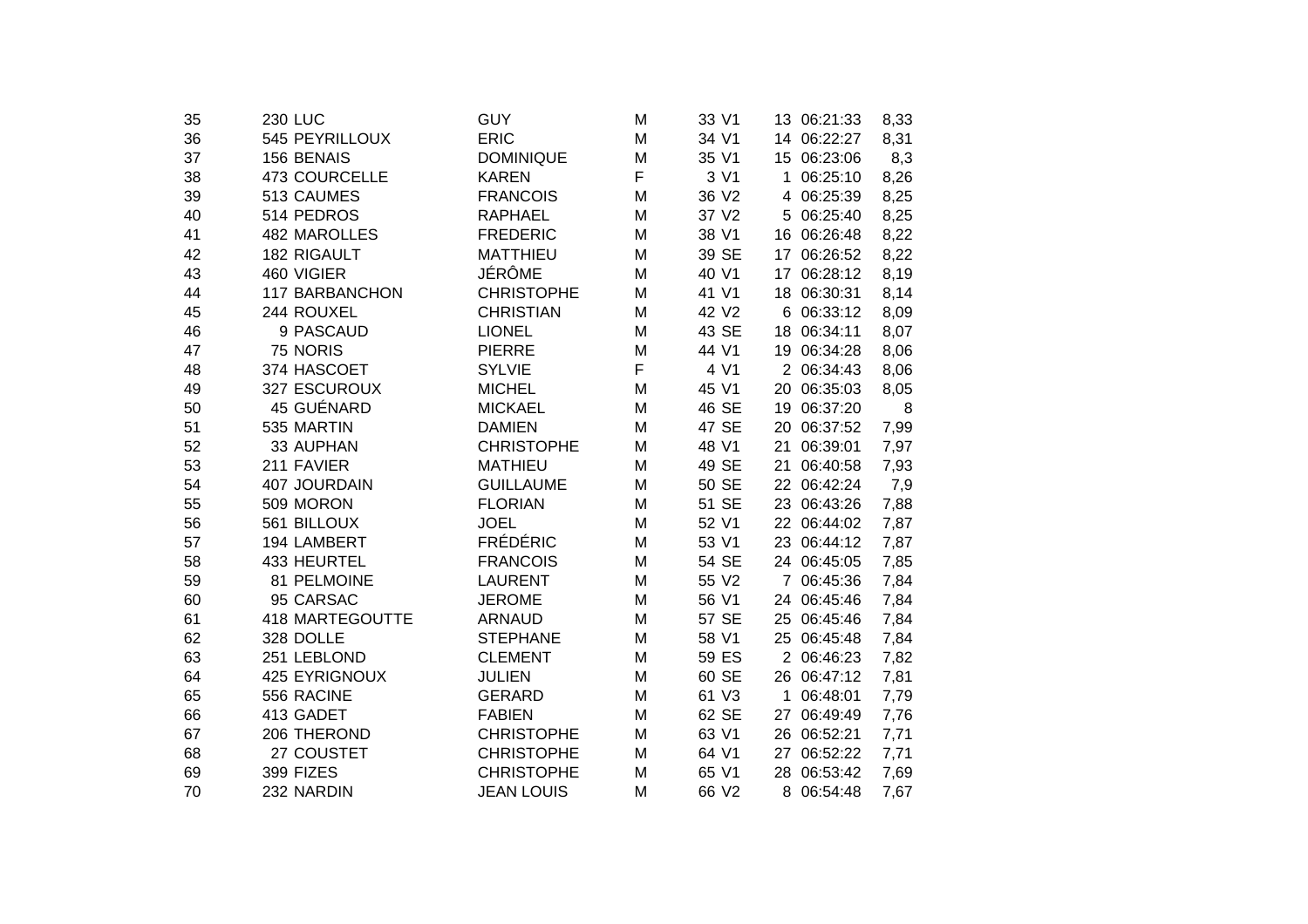| 35 | <b>230 LUC</b>        | <b>GUY</b>        | M | 33 V1 | 13 06:21:33    | 8,33 |
|----|-----------------------|-------------------|---|-------|----------------|------|
| 36 | 545 PEYRILLOUX        | <b>ERIC</b>       | M | 34 V1 | 14 06:22:27    | 8,31 |
| 37 | 156 BENAIS            | <b>DOMINIQUE</b>  | M | 35 V1 | 15 06:23:06    | 8,3  |
| 38 | <b>473 COURCELLE</b>  | <b>KAREN</b>      | F | 3 V1  | 06:25:10<br>1  | 8,26 |
| 39 | 513 CAUMES            | <b>FRANCOIS</b>   | M | 36 V2 | 06:25:39<br>4  | 8,25 |
| 40 | 514 PEDROS            | <b>RAPHAEL</b>    | M | 37 V2 | 06:25:40<br>5. | 8,25 |
| 41 | 482 MAROLLES          | <b>FREDERIC</b>   | M | 38 V1 | 16 06:26:48    | 8,22 |
| 42 | 182 RIGAULT           | <b>MATTHIEU</b>   | M | 39 SE | 17 06:26:52    | 8,22 |
| 43 | 460 VIGIER            | JÉRÔME            | M | 40 V1 | 17 06:28:12    | 8,19 |
| 44 | <b>117 BARBANCHON</b> | <b>CHRISTOPHE</b> | M | 41 V1 | 18 06:30:31    | 8,14 |
| 45 | 244 ROUXEL            | <b>CHRISTIAN</b>  | M | 42 V2 | 6 06:33:12     | 8,09 |
| 46 | 9 PASCAUD             | <b>LIONEL</b>     | M | 43 SE | 18 06:34:11    | 8,07 |
| 47 | 75 NORIS              | <b>PIERRE</b>     | M | 44 V1 | 19 06:34:28    | 8,06 |
| 48 | 374 HASCOET           | <b>SYLVIE</b>     | F | 4 V1  | 2 06:34:43     | 8,06 |
| 49 | 327 ESCUROUX          | <b>MICHEL</b>     | M | 45 V1 | 20 06:35:03    | 8,05 |
| 50 | 45 GUÉNARD            | <b>MICKAEL</b>    | M | 46 SE | 19 06:37:20    | 8    |
| 51 | 535 MARTIN            | <b>DAMIEN</b>     | M | 47 SE | 20 06:37:52    | 7,99 |
| 52 | 33 AUPHAN             | <b>CHRISTOPHE</b> | M | 48 V1 | 21<br>06:39:01 | 7,97 |
| 53 | 211 FAVIER            | <b>MATHIEU</b>    | M | 49 SE | 21<br>06:40:58 | 7,93 |
| 54 | 407 JOURDAIN          | <b>GUILLAUME</b>  | M | 50 SE | 22 06:42:24    | 7,9  |
| 55 | 509 MORON             | <b>FLORIAN</b>    | M | 51 SE | 23 06:43:26    | 7,88 |
| 56 | 561 BILLOUX           | <b>JOEL</b>       | M | 52 V1 | 22 06:44:02    | 7,87 |
| 57 | 194 LAMBERT           | <b>FRÉDÉRIC</b>   | M | 53 V1 | 23 06:44:12    | 7,87 |
| 58 | 433 HEURTEL           | <b>FRANCOIS</b>   | M | 54 SE | 24 06:45:05    | 7,85 |
| 59 | 81 PELMOINE           | <b>LAURENT</b>    | M | 55 V2 | 7 06:45:36     | 7,84 |
| 60 | 95 CARSAC             | <b>JEROME</b>     | M | 56 V1 | 24 06:45:46    | 7,84 |
| 61 | 418 MARTEGOUTTE       | <b>ARNAUD</b>     | M | 57 SE | 25 06:45:46    | 7,84 |
| 62 | 328 DOLLE             | <b>STEPHANE</b>   | M | 58 V1 | 25 06:45:48    | 7,84 |
| 63 | 251 LEBLOND           | <b>CLEMENT</b>    | M | 59 ES | 2 06:46:23     | 7,82 |
| 64 | 425 EYRIGNOUX         | <b>JULIEN</b>     | M | 60 SE | 26 06:47:12    | 7,81 |
| 65 | 556 RACINE            | <b>GERARD</b>     | M | 61 V3 | 06:48:01<br>1  | 7,79 |
| 66 | 413 GADET             | <b>FABIEN</b>     | M | 62 SE | 27<br>06:49:49 | 7,76 |
| 67 | 206 THEROND           | <b>CHRISTOPHE</b> | М | 63 V1 | 26 06:52:21    | 7,71 |
| 68 | 27 COUSTET            | <b>CHRISTOPHE</b> | M | 64 V1 | 06:52:22<br>27 | 7,71 |
| 69 | 399 FIZES             | <b>CHRISTOPHE</b> | M | 65 V1 | 28 06:53:42    | 7,69 |
| 70 | 232 NARDIN            | <b>JEAN LOUIS</b> | M | 66 V2 | 8 06:54:48     | 7,67 |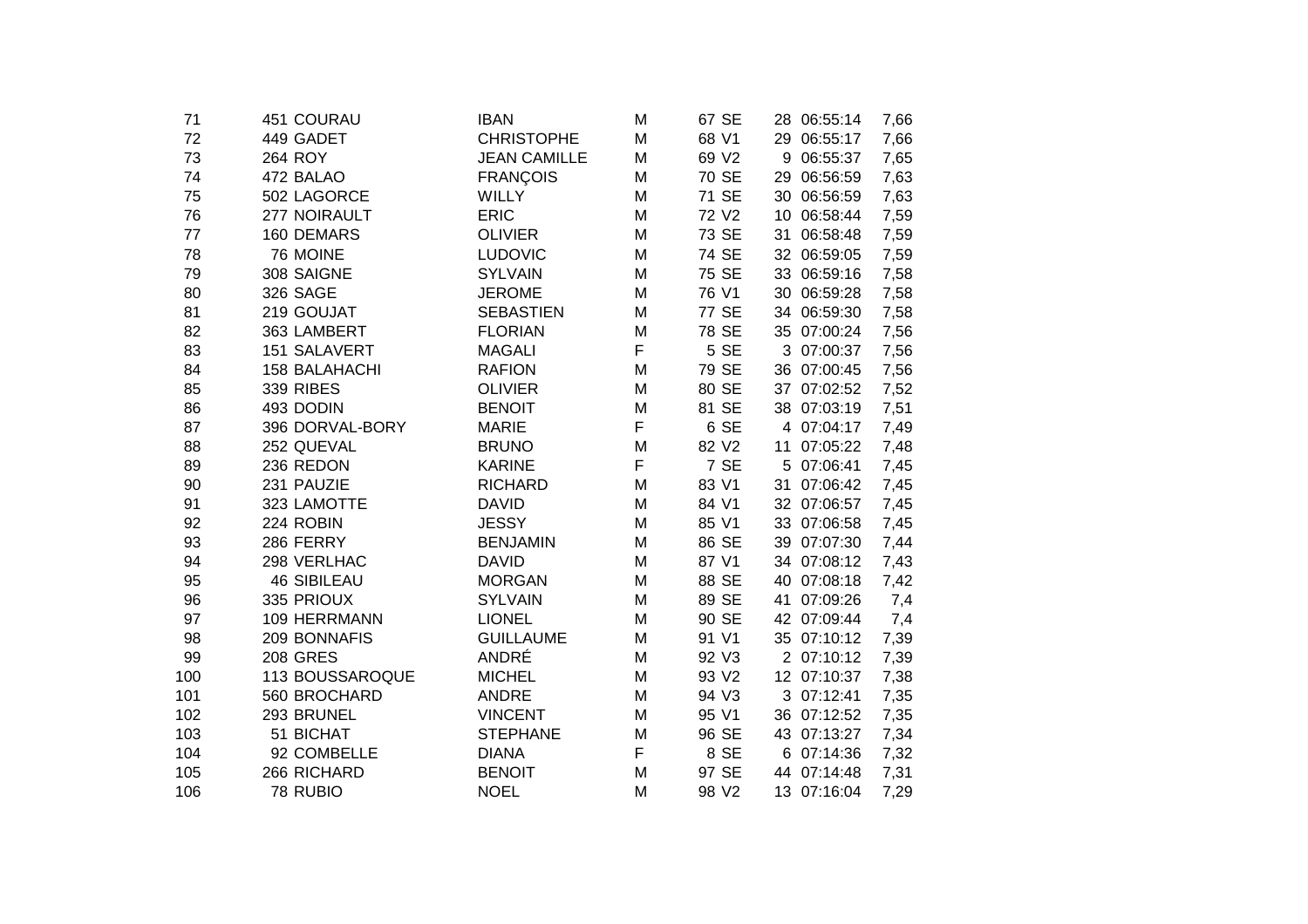| 71  | 451 COURAU           | <b>IBAN</b>         | M | 67 SE | 28 06:55:14 | 7,66 |
|-----|----------------------|---------------------|---|-------|-------------|------|
| 72  | 449 GADET            | <b>CHRISTOPHE</b>   | M | 68 V1 | 29 06:55:17 | 7,66 |
| 73  | 264 ROY              | <b>JEAN CAMILLE</b> | M | 69 V2 | 9 06:55:37  | 7,65 |
| 74  | 472 BALAO            | <b>FRANÇOIS</b>     | M | 70 SE | 29 06:56:59 | 7,63 |
| 75  | 502 LAGORCE          | <b>WILLY</b>        | M | 71 SE | 30 06:56:59 | 7,63 |
| 76  | 277 NOIRAULT         | <b>ERIC</b>         | M | 72 V2 | 10 06:58:44 | 7,59 |
| 77  | 160 DEMARS           | <b>OLIVIER</b>      | M | 73 SE | 31 06:58:48 | 7,59 |
| 78  | 76 MOINE             | <b>LUDOVIC</b>      | M | 74 SE | 32 06:59:05 | 7,59 |
| 79  | 308 SAIGNE           | <b>SYLVAIN</b>      | M | 75 SE | 33 06:59:16 | 7,58 |
| 80  | 326 SAGE             | <b>JEROME</b>       | M | 76 V1 | 30 06:59:28 | 7,58 |
| 81  | 219 GOUJAT           | <b>SEBASTIEN</b>    | M | 77 SE | 34 06:59:30 | 7,58 |
| 82  | 363 LAMBERT          | <b>FLORIAN</b>      | M | 78 SE | 35 07:00:24 | 7,56 |
| 83  | 151 SALAVERT         | <b>MAGALI</b>       | F | 5 SE  | 3 07:00:37  | 7,56 |
| 84  | <b>158 BALAHACHI</b> | <b>RAFION</b>       | M | 79 SE | 36 07:00:45 | 7,56 |
| 85  | <b>339 RIBES</b>     | <b>OLIVIER</b>      | M | 80 SE | 37 07:02:52 | 7,52 |
| 86  | 493 DODIN            | <b>BENOIT</b>       | M | 81 SE | 38 07:03:19 | 7,51 |
| 87  | 396 DORVAL-BORY      | <b>MARIE</b>        | F | 6 SE  | 4 07:04:17  | 7,49 |
| 88  | 252 QUEVAL           | <b>BRUNO</b>        | M | 82 V2 | 11 07:05:22 | 7,48 |
| 89  | 236 REDON            | <b>KARINE</b>       | F | 7 SE  | 5 07:06:41  | 7,45 |
| 90  | 231 PAUZIE           | <b>RICHARD</b>      | M | 83 V1 | 31 07:06:42 | 7,45 |
| 91  | 323 LAMOTTE          | <b>DAVID</b>        | M | 84 V1 | 32 07:06:57 | 7,45 |
| 92  | 224 ROBIN            | <b>JESSY</b>        | M | 85 V1 | 33 07:06:58 | 7,45 |
| 93  | 286 FERRY            | <b>BENJAMIN</b>     | M | 86 SE | 39 07:07:30 | 7,44 |
| 94  | 298 VERLHAC          | <b>DAVID</b>        | M | 87 V1 | 34 07:08:12 | 7,43 |
| 95  | <b>46 SIBILEAU</b>   | <b>MORGAN</b>       | M | 88 SE | 40 07:08:18 | 7,42 |
| 96  | 335 PRIOUX           | <b>SYLVAIN</b>      | M | 89 SE | 41 07:09:26 | 7,4  |
| 97  | 109 HERRMANN         | <b>LIONEL</b>       | M | 90 SE | 42 07:09:44 | 7,4  |
| 98  | 209 BONNAFIS         | <b>GUILLAUME</b>    | M | 91 V1 | 35 07:10:12 | 7,39 |
| 99  | <b>208 GRES</b>      | ANDRÉ               | M | 92 V3 | 2 07:10:12  | 7,39 |
| 100 | 113 BOUSSAROQUE      | <b>MICHEL</b>       | M | 93 V2 | 12 07:10:37 | 7,38 |
| 101 | 560 BROCHARD         | <b>ANDRE</b>        | M | 94 V3 | 3 07:12:41  | 7,35 |
| 102 | 293 BRUNEL           | <b>VINCENT</b>      | M | 95 V1 | 36 07:12:52 | 7,35 |
| 103 | 51 BICHAT            | <b>STEPHANE</b>     | M | 96 SE | 43 07:13:27 | 7,34 |
| 104 | 92 COMBELLE          | <b>DIANA</b>        | F | 8 SE  | 6 07:14:36  | 7,32 |
| 105 | 266 RICHARD          | <b>BENOIT</b>       | M | 97 SE | 44 07:14:48 | 7,31 |
| 106 | 78 RUBIO             | <b>NOEL</b>         | M | 98 V2 | 13 07:16:04 | 7,29 |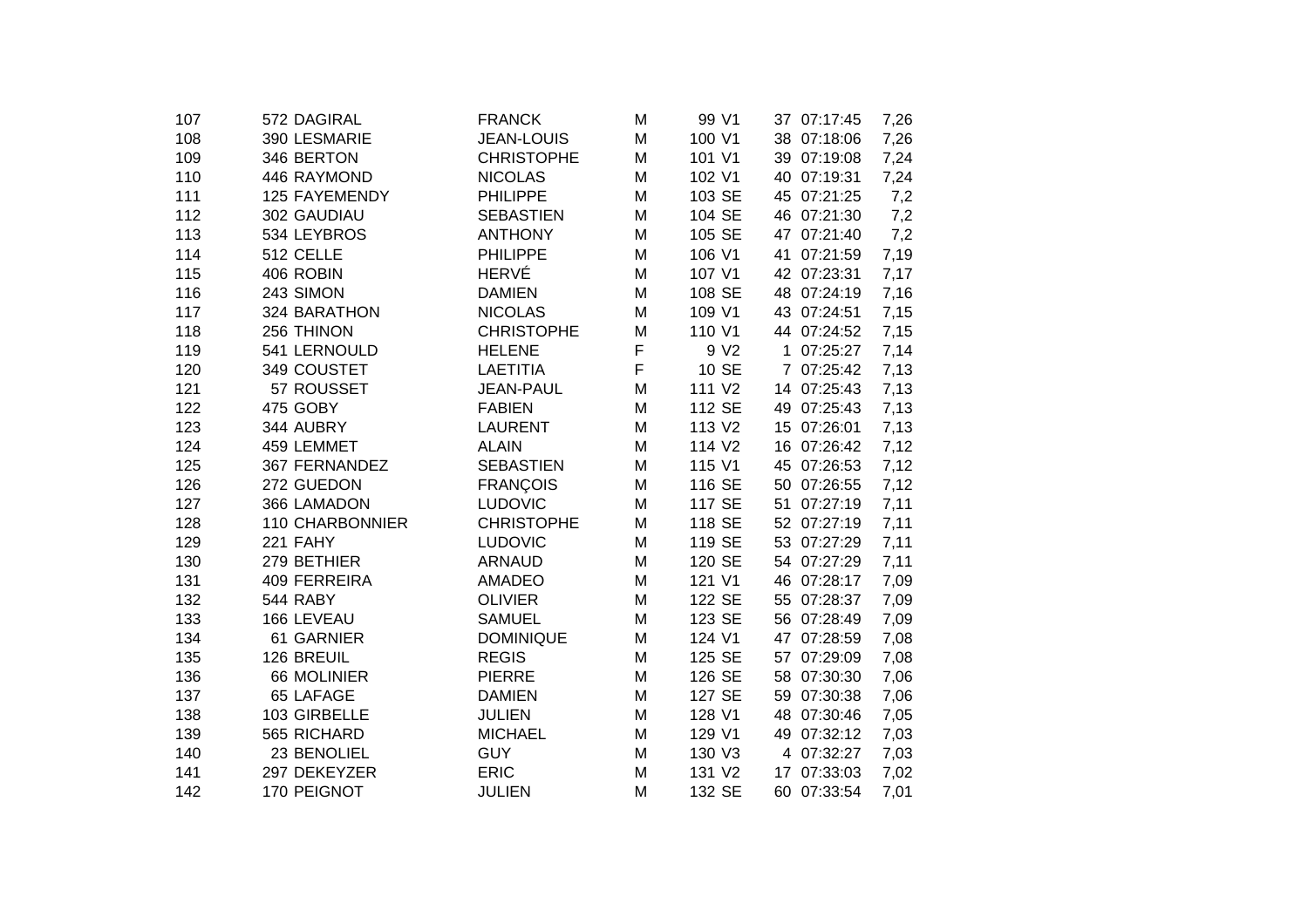| 572 DAGIRAL     | <b>FRANCK</b>     | M | 99 V1              | 37 07:17:45 | 7,26 |
|-----------------|-------------------|---|--------------------|-------------|------|
| 390 LESMARIE    | <b>JEAN-LOUIS</b> | M | 100 V1             | 38 07:18:06 | 7,26 |
| 346 BERTON      | <b>CHRISTOPHE</b> | M | 101 V1             | 39 07:19:08 | 7,24 |
| 446 RAYMOND     | <b>NICOLAS</b>    | M | 102 V1             | 40 07:19:31 | 7,24 |
| 125 FAYEMENDY   | <b>PHILIPPE</b>   | M | 103 SE             | 45 07:21:25 | 7,2  |
| 302 GAUDIAU     | <b>SEBASTIEN</b>  | Μ | 104 SE             | 46 07:21:30 | 7,2  |
| 534 LEYBROS     | <b>ANTHONY</b>    | M | 105 SE             | 47 07:21:40 | 7,2  |
| 512 CELLE       | <b>PHILIPPE</b>   | Μ | 106 V1             | 41 07:21:59 | 7,19 |
| 406 ROBIN       | <b>HERVÉ</b>      | M | 107 V1             | 42 07:23:31 | 7,17 |
| 243 SIMON       | <b>DAMIEN</b>     | M | 108 SE             | 48 07:24:19 | 7,16 |
| 324 BARATHON    | <b>NICOLAS</b>    | M | 109 V1             | 43 07:24:51 | 7,15 |
| 256 THINON      | <b>CHRISTOPHE</b> | M | 110 V1             | 44 07:24:52 | 7,15 |
| 541 LERNOULD    | <b>HELENE</b>     | F | 9 V <sub>2</sub>   | 1 07:25:27  | 7,14 |
| 349 COUSTET     | <b>LAETITIA</b>   | F | 10 SE              | 7 07:25:42  | 7,13 |
| 57 ROUSSET      | <b>JEAN-PAUL</b>  | M | 111 V2             | 14 07:25:43 | 7,13 |
| 475 GOBY        | <b>FABIEN</b>     | M | 112 SE             | 49 07:25:43 | 7,13 |
| 344 AUBRY       | <b>LAURENT</b>    | M | 113 V2             | 15 07:26:01 | 7,13 |
| 459 LEMMET      | <b>ALAIN</b>      | M | 114 V <sub>2</sub> | 16 07:26:42 | 7,12 |
| 367 FERNANDEZ   | <b>SEBASTIEN</b>  | M | 115 V1             | 45 07:26:53 | 7,12 |
| 272 GUEDON      | <b>FRANÇOIS</b>   | M | 116 SE             | 50 07:26:55 | 7,12 |
| 366 LAMADON     | <b>LUDOVIC</b>    | M | 117 SE             | 51 07:27:19 | 7,11 |
| 110 CHARBONNIER | <b>CHRISTOPHE</b> | M | 118 SE             | 52 07:27:19 | 7,11 |
| 221 FAHY        | <b>LUDOVIC</b>    | M | 119 SE             | 53 07:27:29 | 7,11 |
| 279 BETHIER     | <b>ARNAUD</b>     | M | 120 SE             | 54 07:27:29 | 7,11 |
| 409 FERREIRA    | AMADEO            | M | 121 V1             | 46 07:28:17 | 7,09 |
| 544 RABY        | <b>OLIVIER</b>    | M | 122 SE             | 55 07:28:37 | 7,09 |
| 166 LEVEAU      | <b>SAMUEL</b>     | M | 123 SE             | 56 07:28:49 | 7,09 |
| 61 GARNIER      | <b>DOMINIQUE</b>  | M | 124 V1             | 47 07:28:59 | 7,08 |
| 126 BREUIL      | <b>REGIS</b>      | M | 125 SE             | 57 07:29:09 | 7,08 |
| 66 MOLINIER     | <b>PIERRE</b>     | M |                    | 58 07:30:30 | 7,06 |
| 65 LAFAGE       | <b>DAMIEN</b>     | M | 127 SE             | 59 07:30:38 | 7,06 |
|                 | <b>JULIEN</b>     | M | 128 V1             | 48 07:30:46 | 7,05 |
| 565 RICHARD     | <b>MICHAEL</b>    | M | 129 V1             | 49 07:32:12 | 7,03 |
| 23 BENOLIEL     | <b>GUY</b>        | M | 130 V3             | 4 07:32:27  | 7,03 |
| 297 DEKEYZER    | <b>ERIC</b>       | M | 131 V2             | 17 07:33:03 | 7,02 |
| 170 PEIGNOT     | <b>JULIEN</b>     | M | 132 SE             | 60 07:33:54 | 7,01 |
|                 | 103 GIRBELLE      |   |                    | 126 SE      |      |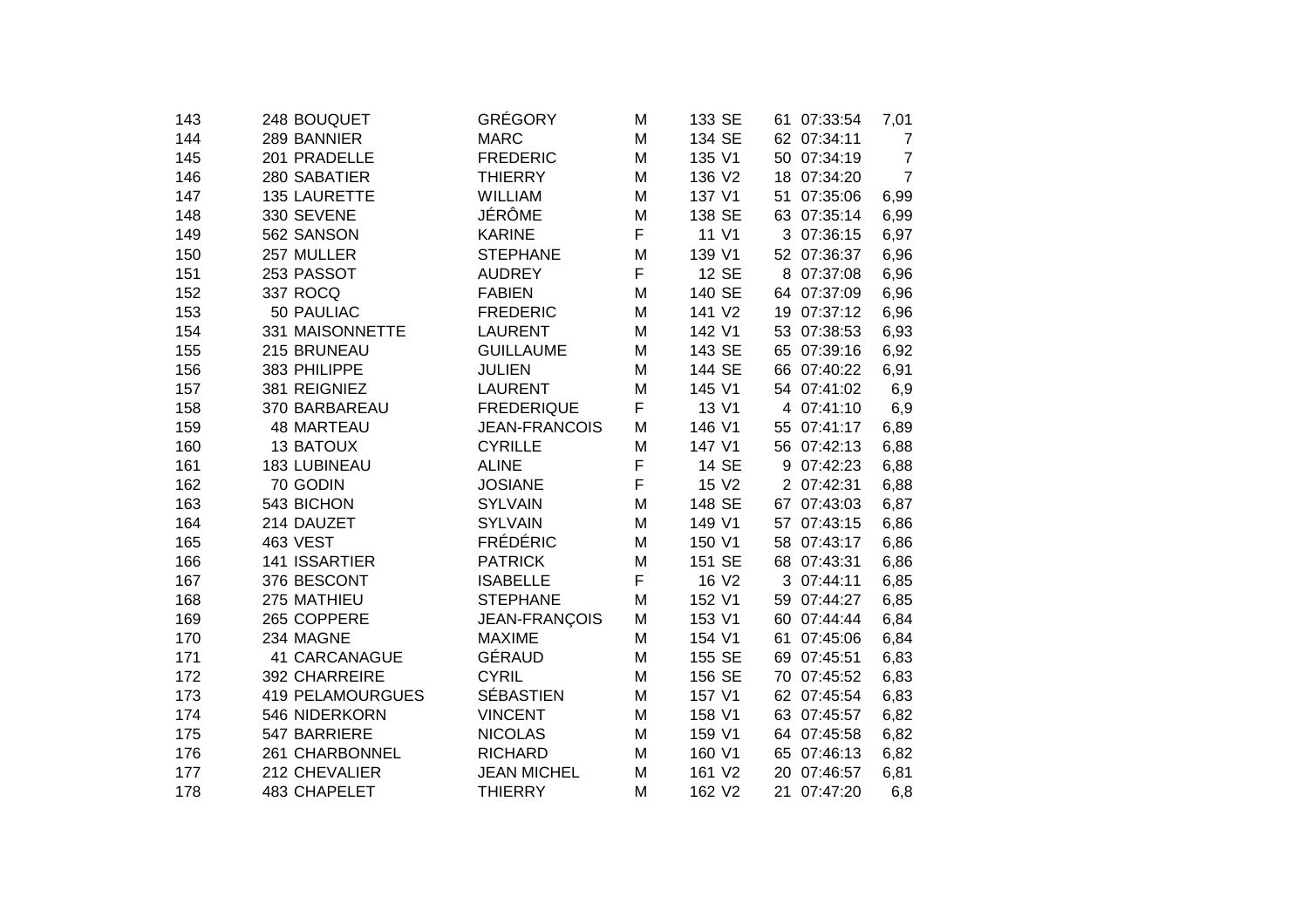| 143 | 248 BOUQUET             | GRÉGORY              | M | 133 SE       | 61 07:33:54    | 7,01           |
|-----|-------------------------|----------------------|---|--------------|----------------|----------------|
| 144 | 289 BANNIER             | <b>MARC</b>          | M | 134 SE       | 62 07:34:11    | 7              |
| 145 | 201 PRADELLE            | <b>FREDERIC</b>      | M | 135 V1       | 07:34:19<br>50 | $\overline{7}$ |
| 146 | 280 SABATIER            | <b>THIERRY</b>       | M | 136 V2       | 07:34:20<br>18 | $\overline{7}$ |
| 147 | 135 LAURETTE            | WILLIAM              | M | 137 V1       | 07:35:06<br>51 | 6,99           |
| 148 | 330 SEVENE              | JÉRÔME               | M | 138 SE       | 63<br>07:35:14 | 6,99           |
| 149 | 562 SANSON              | <b>KARINE</b>        | F | 11 V1        | 3 07:36:15     | 6,97           |
| 150 | 257 MULLER              | <b>STEPHANE</b>      | M | 139 V1       | 52 07:36:37    | 6,96           |
| 151 | 253 PASSOT              | <b>AUDREY</b>        | F | 12 SE        | 8<br>07:37:08  | 6,96           |
| 152 | 337 ROCQ                | <b>FABIEN</b>        | M | 140 SE       | 64 07:37:09    | 6,96           |
| 153 | 50 PAULIAC              | <b>FREDERIC</b>      | M | 141 V2       | 19 07:37:12    | 6,96           |
| 154 | 331 MAISONNETTE         | <b>LAURENT</b>       | M | 142 V1       | 53 07:38:53    | 6,93           |
| 155 | 215 BRUNEAU             | <b>GUILLAUME</b>     | M | 143 SE       | 65 07:39:16    | 6,92           |
| 156 | 383 PHILIPPE            | <b>JULIEN</b>        | M | 144 SE       | 66 07:40:22    | 6,91           |
| 157 | 381 REIGNIEZ            | <b>LAURENT</b>       | M | 145 V1       | 54 07:41:02    | 6,9            |
| 158 | 370 BARBAREAU           | <b>FREDERIQUE</b>    | F | 13 V1        | 07:41:10<br>4  | 6,9            |
| 159 | <b>48 MARTEAU</b>       | <b>JEAN-FRANCOIS</b> | M | 146 V1       | 07:41:17<br>55 | 6,89           |
| 160 | <b>13 BATOUX</b>        | <b>CYRILLE</b>       | M | 147 V1       | 56 07:42:13    | 6,88           |
| 161 | 183 LUBINEAU            | <b>ALINE</b>         | F | <b>14 SE</b> | 07:42:23<br>9  | 6,88           |
| 162 | 70 GODIN                | <b>JOSIANE</b>       | F | 15 V2        | 2 07:42:31     | 6,88           |
| 163 | 543 BICHON              | <b>SYLVAIN</b>       | M | 148 SE       | 07:43:03<br>67 | 6,87           |
| 164 | 214 DAUZET              | <b>SYLVAIN</b>       | M | 149 V1       | 07:43:15<br>57 | 6,86           |
| 165 | 463 VEST                | <b>FRÉDÉRIC</b>      | M | 150 V1       | 07:43:17<br>58 | 6,86           |
| 166 | 141 ISSARTIER           | <b>PATRICK</b>       | M | 151 SE       | 07:43:31<br>68 | 6,86           |
| 167 | 376 BESCONT             | <b>ISABELLE</b>      | F | 16 V2        | 3<br>07:44:11  | 6,85           |
| 168 | 275 MATHIEU             | <b>STEPHANE</b>      | M | 152 V1       | 07:44:27<br>59 | 6,85           |
| 169 | 265 COPPERE             | JEAN-FRANÇOIS        | M | 153 V1       | 07:44:44<br>60 | 6,84           |
| 170 | 234 MAGNE               | <b>MAXIME</b>        | M | 154 V1       | 61<br>07:45:06 | 6,84           |
| 171 | <b>41 CARCANAGUE</b>    | GÉRAUD               | M | 155 SE       | 69<br>07:45:51 | 6,83           |
| 172 | 392 CHARREIRE           | <b>CYRIL</b>         | M | 156 SE       | 07:45:52<br>70 | 6,83           |
| 173 | <b>419 PELAMOURGUES</b> | <b>SÉBASTIEN</b>     | M | 157 V1       | 62 07:45:54    | 6,83           |
| 174 | 546 NIDERKORN           | <b>VINCENT</b>       | M | 158 V1       | 63 07:45:57    | 6,82           |
| 175 | 547 BARRIERE            | <b>NICOLAS</b>       | M | 159 V1       | 64 07:45:58    | 6,82           |
| 176 | 261 CHARBONNEL          | <b>RICHARD</b>       | M | 160 V1       | 65 07:46:13    | 6,82           |
| 177 | 212 CHEVALIER           | <b>JEAN MICHEL</b>   | M | 161 V2       | 07:46:57<br>20 | 6,81           |
| 178 | 483 CHAPELET            | <b>THIERRY</b>       | M | 162 V2       | 21<br>07:47:20 | 6,8            |
|     |                         |                      |   |              |                |                |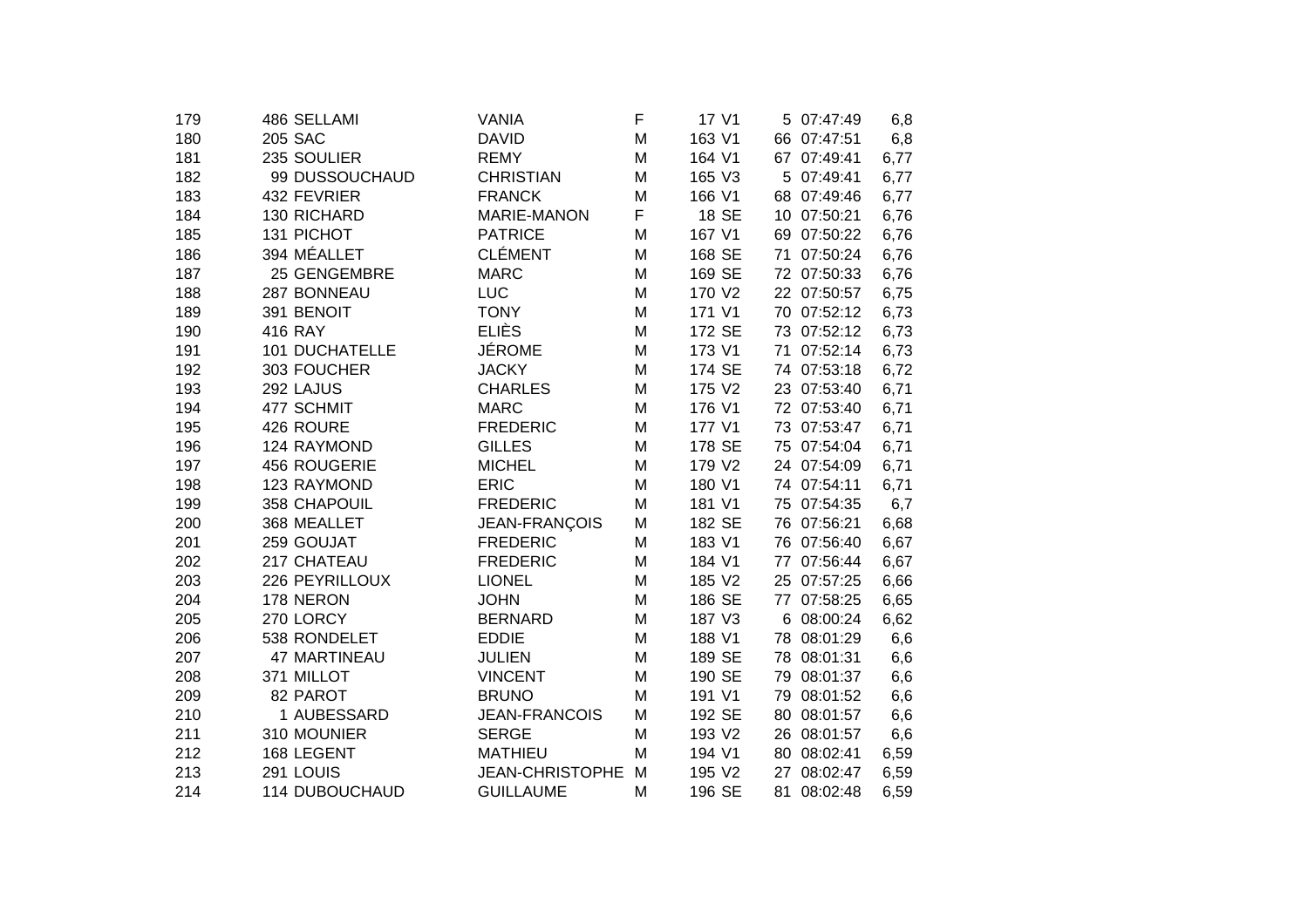| 179 | 486 SELLAMI           | <b>VANIA</b>           | F | 17 V1  | 5 07:47:49     | 6,8  |
|-----|-----------------------|------------------------|---|--------|----------------|------|
| 180 | 205 SAC               | <b>DAVID</b>           | M | 163 V1 | 66 07:47:51    | 6,8  |
| 181 | 235 SOULIER           | <b>REMY</b>            | M | 164 V1 | 67 07:49:41    | 6,77 |
| 182 | 99 DUSSOUCHAUD        | <b>CHRISTIAN</b>       | M | 165 V3 | 5 07:49:41     | 6,77 |
| 183 | 432 FEVRIER           | <b>FRANCK</b>          | M | 166 V1 | 68 07:49:46    | 6,77 |
| 184 | 130 RICHARD           | <b>MARIE-MANON</b>     | F | 18 SE  | 10 07:50:21    | 6,76 |
| 185 | 131 PICHOT            | <b>PATRICE</b>         | M | 167 V1 | 69 07:50:22    | 6,76 |
| 186 | 394 MÉALLET           | <b>CLÉMENT</b>         | M | 168 SE | 71 07:50:24    | 6,76 |
| 187 | 25 GENGEMBRE          | <b>MARC</b>            | M | 169 SE | 72 07:50:33    | 6,76 |
| 188 | 287 BONNEAU           | <b>LUC</b>             | M | 170 V2 | 22 07:50:57    | 6,75 |
| 189 | 391 BENOIT            | <b>TONY</b>            | M | 171 V1 | 70 07:52:12    | 6,73 |
| 190 | 416 RAY               | <b>ELIÈS</b>           | M | 172 SE | 73 07:52:12    | 6,73 |
| 191 | <b>101 DUCHATELLE</b> | <b>JÉROME</b>          | M | 173 V1 | 71 07:52:14    | 6,73 |
| 192 | 303 FOUCHER           | <b>JACKY</b>           | M | 174 SE | 74 07:53:18    | 6,72 |
| 193 | 292 LAJUS             | <b>CHARLES</b>         | M | 175 V2 | 23 07:53:40    | 6,71 |
| 194 | 477 SCHMIT            | <b>MARC</b>            | M | 176 V1 | 72 07:53:40    | 6,71 |
| 195 | 426 ROURE             | <b>FREDERIC</b>        | M | 177 V1 | 73 07:53:47    | 6,71 |
| 196 | 124 RAYMOND           | <b>GILLES</b>          | M | 178 SE | 75 07:54:04    | 6,71 |
| 197 | 456 ROUGERIE          | <b>MICHEL</b>          | M | 179 V2 | 24 07:54:09    | 6,71 |
| 198 | 123 RAYMOND           | <b>ERIC</b>            | M | 180 V1 | 74 07:54:11    | 6,71 |
| 199 | 358 CHAPOUIL          | <b>FREDERIC</b>        | M | 181 V1 | 75 07:54:35    | 6,7  |
| 200 | 368 MEALLET           | JEAN-FRANÇOIS          | M | 182 SE | 76 07:56:21    | 6,68 |
| 201 | 259 GOUJAT            | <b>FREDERIC</b>        | M | 183 V1 | 76 07:56:40    | 6,67 |
| 202 | 217 CHATEAU           | <b>FREDERIC</b>        | M | 184 V1 | 77 07:56:44    | 6,67 |
| 203 | 226 PEYRILLOUX        | <b>LIONEL</b>          | M | 185 V2 | 25 07:57:25    | 6,66 |
| 204 | 178 NERON             | <b>JOHN</b>            | M | 186 SE | 77 07:58:25    | 6,65 |
| 205 | 270 LORCY             | <b>BERNARD</b>         | M | 187 V3 | 6 08:00:24     | 6,62 |
| 206 | 538 RONDELET          | <b>EDDIE</b>           | M | 188 V1 | 78 08:01:29    | 6,6  |
| 207 | 47 MARTINEAU          | <b>JULIEN</b>          | M | 189 SE | 78 08:01:31    | 6,6  |
| 208 | 371 MILLOT            | <b>VINCENT</b>         | M | 190 SE | 79 08:01:37    | 6,6  |
| 209 | 82 PAROT              | <b>BRUNO</b>           | M | 191 V1 | 08:01:52<br>79 | 6,6  |
| 210 | 1 AUBESSARD           | <b>JEAN-FRANCOIS</b>   | M | 192 SE | 80<br>08:01:57 | 6,6  |
| 211 | 310 MOUNIER           | <b>SERGE</b>           | M | 193 V2 | 26 08:01:57    | 6,6  |
| 212 | 168 LEGENT            | <b>MATHIEU</b>         | M | 194 V1 | 80 08:02:41    | 6,59 |
| 213 | 291 LOUIS             | <b>JEAN-CHRISTOPHE</b> | M | 195 V2 | 08:02:47<br>27 | 6,59 |
| 214 | 114 DUBOUCHAUD        | <b>GUILLAUME</b>       | M | 196 SE | 81 08:02:48    | 6,59 |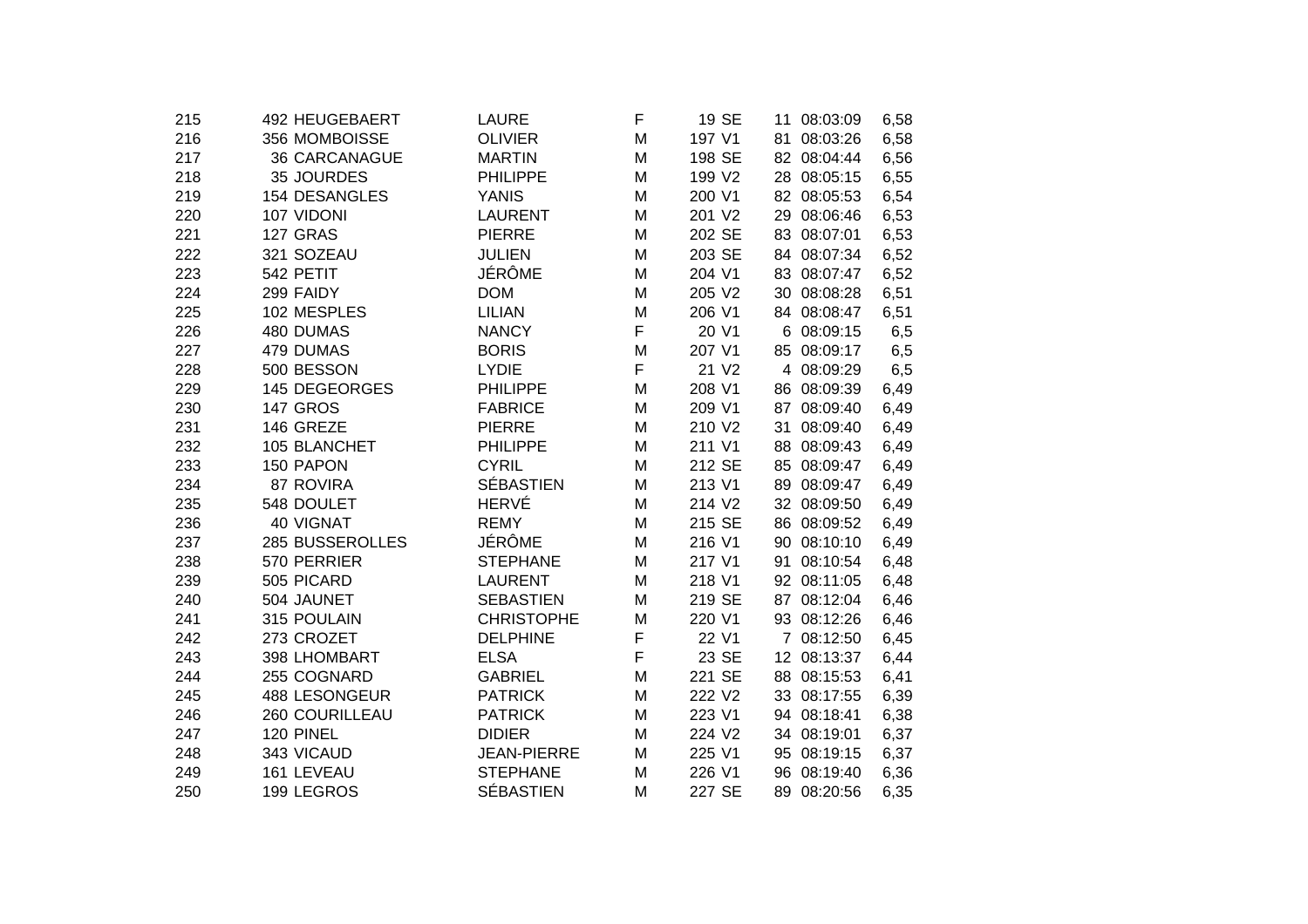| 492 HEUGEBAERT       | <b>LAURE</b>                                                                                                                                                                                     | F                                                                                                                                                                                                                                                | 19 SE                           | 11 08:03:09                                                                 | 6,58                                                                                                                                                                             |
|----------------------|--------------------------------------------------------------------------------------------------------------------------------------------------------------------------------------------------|--------------------------------------------------------------------------------------------------------------------------------------------------------------------------------------------------------------------------------------------------|---------------------------------|-----------------------------------------------------------------------------|----------------------------------------------------------------------------------------------------------------------------------------------------------------------------------|
| 356 MOMBOISSE        | <b>OLIVIER</b>                                                                                                                                                                                   | M                                                                                                                                                                                                                                                | 197 V1                          | 81 08:03:26                                                                 | 6,58                                                                                                                                                                             |
| <b>36 CARCANAGUE</b> | <b>MARTIN</b>                                                                                                                                                                                    | M                                                                                                                                                                                                                                                | 198 SE                          | 82 08:04:44                                                                 | 6,56                                                                                                                                                                             |
| 35 JOURDES           | PHILIPPE                                                                                                                                                                                         | M                                                                                                                                                                                                                                                | 199 V2                          | 28 08:05:15                                                                 | 6,55                                                                                                                                                                             |
| 154 DESANGLES        | <b>YANIS</b>                                                                                                                                                                                     | M                                                                                                                                                                                                                                                | 200 V1                          | 82 08:05:53                                                                 | 6,54                                                                                                                                                                             |
| 107 VIDONI           | <b>LAURENT</b>                                                                                                                                                                                   | M                                                                                                                                                                                                                                                | 201 V2                          | 29 08:06:46                                                                 | 6,53                                                                                                                                                                             |
| 127 GRAS             | <b>PIERRE</b>                                                                                                                                                                                    | M                                                                                                                                                                                                                                                | 202 SE                          | 83 08:07:01                                                                 | 6,53                                                                                                                                                                             |
| 321 SOZEAU           | <b>JULIEN</b>                                                                                                                                                                                    | M                                                                                                                                                                                                                                                | 203 SE                          | 84 08:07:34                                                                 | 6,52                                                                                                                                                                             |
| 542 PETIT            | <b>JÉRÔME</b>                                                                                                                                                                                    | M                                                                                                                                                                                                                                                | 204 V1                          | 83 08:07:47                                                                 | 6,52                                                                                                                                                                             |
| 299 FAIDY            | <b>DOM</b>                                                                                                                                                                                       | M                                                                                                                                                                                                                                                | 205 V2                          |                                                                             | 6,51                                                                                                                                                                             |
| 102 MESPLES          | <b>LILIAN</b>                                                                                                                                                                                    | M                                                                                                                                                                                                                                                | 206 V1                          | 84 08:08:47                                                                 | 6,51                                                                                                                                                                             |
| 480 DUMAS            | <b>NANCY</b>                                                                                                                                                                                     | F                                                                                                                                                                                                                                                | 20 V1                           | 6 08:09:15                                                                  | 6,5                                                                                                                                                                              |
| 479 DUMAS            | <b>BORIS</b>                                                                                                                                                                                     | M                                                                                                                                                                                                                                                | 207 V1                          | 85 08:09:17                                                                 | 6,5                                                                                                                                                                              |
|                      | <b>LYDIE</b>                                                                                                                                                                                     |                                                                                                                                                                                                                                                  | 21 V <sub>2</sub>               | 4 08:09:29                                                                  | 6,5                                                                                                                                                                              |
|                      | <b>PHILIPPE</b>                                                                                                                                                                                  | M                                                                                                                                                                                                                                                |                                 |                                                                             | 6,49                                                                                                                                                                             |
| <b>147 GROS</b>      | <b>FABRICE</b>                                                                                                                                                                                   | M                                                                                                                                                                                                                                                | 209 V1                          | 87 08:09:40                                                                 | 6,49                                                                                                                                                                             |
| 146 GREZE            | <b>PIERRE</b>                                                                                                                                                                                    | M                                                                                                                                                                                                                                                | 210 V2                          |                                                                             | 6,49                                                                                                                                                                             |
| 105 BLANCHET         |                                                                                                                                                                                                  | M                                                                                                                                                                                                                                                | 211 V1                          | 88 08:09:43                                                                 | 6,49                                                                                                                                                                             |
| 150 PAPON            |                                                                                                                                                                                                  | M                                                                                                                                                                                                                                                |                                 | 85 08:09:47                                                                 | 6,49                                                                                                                                                                             |
| 87 ROVIRA            |                                                                                                                                                                                                  | M                                                                                                                                                                                                                                                | 213 V1                          | 89 08:09:47                                                                 | 6,49                                                                                                                                                                             |
| 548 DOULET           |                                                                                                                                                                                                  | M                                                                                                                                                                                                                                                | 214 V2                          |                                                                             | 6,49                                                                                                                                                                             |
|                      |                                                                                                                                                                                                  | M                                                                                                                                                                                                                                                | 215 SE                          | 86 08:09:52                                                                 | 6,49                                                                                                                                                                             |
| 285 BUSSEROLLES      |                                                                                                                                                                                                  | M                                                                                                                                                                                                                                                | 216 V1                          | 90 08:10:10                                                                 | 6,49                                                                                                                                                                             |
|                      |                                                                                                                                                                                                  | M                                                                                                                                                                                                                                                | 217 V1                          |                                                                             | 6,48                                                                                                                                                                             |
|                      | <b>LAURENT</b>                                                                                                                                                                                   | M                                                                                                                                                                                                                                                | 218 V1                          | 92 08:11:05                                                                 | 6,48                                                                                                                                                                             |
|                      |                                                                                                                                                                                                  |                                                                                                                                                                                                                                                  |                                 |                                                                             | 6,46                                                                                                                                                                             |
|                      |                                                                                                                                                                                                  |                                                                                                                                                                                                                                                  |                                 |                                                                             | 6,46                                                                                                                                                                             |
|                      |                                                                                                                                                                                                  |                                                                                                                                                                                                                                                  | 22 V1                           | 7 08:12:50                                                                  | 6,45                                                                                                                                                                             |
|                      |                                                                                                                                                                                                  |                                                                                                                                                                                                                                                  |                                 |                                                                             | 6,44                                                                                                                                                                             |
|                      |                                                                                                                                                                                                  |                                                                                                                                                                                                                                                  |                                 |                                                                             | 6,41                                                                                                                                                                             |
|                      |                                                                                                                                                                                                  | M                                                                                                                                                                                                                                                |                                 |                                                                             | 6,39                                                                                                                                                                             |
|                      |                                                                                                                                                                                                  |                                                                                                                                                                                                                                                  |                                 |                                                                             | 6,38                                                                                                                                                                             |
| 120 PINEL            | <b>DIDIER</b>                                                                                                                                                                                    | M                                                                                                                                                                                                                                                | 224 V2                          | 34 08:19:01                                                                 | 6,37                                                                                                                                                                             |
| 343 VICAUD           | <b>JEAN-PIERRE</b>                                                                                                                                                                               | M                                                                                                                                                                                                                                                | 225 V1                          |                                                                             | 6,37                                                                                                                                                                             |
|                      | <b>STEPHANE</b>                                                                                                                                                                                  | M                                                                                                                                                                                                                                                | 226 V1                          | 96 08:19:40                                                                 | 6,36                                                                                                                                                                             |
| 199 LEGROS           | <b>SÉBASTIEN</b>                                                                                                                                                                                 | M                                                                                                                                                                                                                                                | 227 SE                          | 89 08:20:56                                                                 | 6,35                                                                                                                                                                             |
|                      | 500 BESSON<br>145 DEGEORGES<br>40 VIGNAT<br>570 PERRIER<br>505 PICARD<br>504 JAUNET<br>315 POULAIN<br>273 CROZET<br>398 LHOMBART<br>255 COGNARD<br>488 LESONGEUR<br>260 COURILLEAU<br>161 LEVEAU | <b>PHILIPPE</b><br><b>CYRIL</b><br><b>SÉBASTIEN</b><br><b>HERVÉ</b><br><b>REMY</b><br>JÉRÔME<br><b>STEPHANE</b><br><b>SEBASTIEN</b><br><b>CHRISTOPHE</b><br><b>DELPHINE</b><br><b>ELSA</b><br><b>GABRIEL</b><br><b>PATRICK</b><br><b>PATRICK</b> | F<br>M<br>M<br>F<br>F<br>M<br>M | 208 V1<br>212 SE<br>219 SE<br>220 V1<br>23 SE<br>221 SE<br>222 V2<br>223 V1 | 30 08:08:28<br>86 08:09:39<br>31 08:09:40<br>32 08:09:50<br>91 08:10:54<br>87 08:12:04<br>93 08:12:26<br>12 08:13:37<br>88 08:15:53<br>33 08:17:55<br>94 08:18:41<br>95 08:19:15 |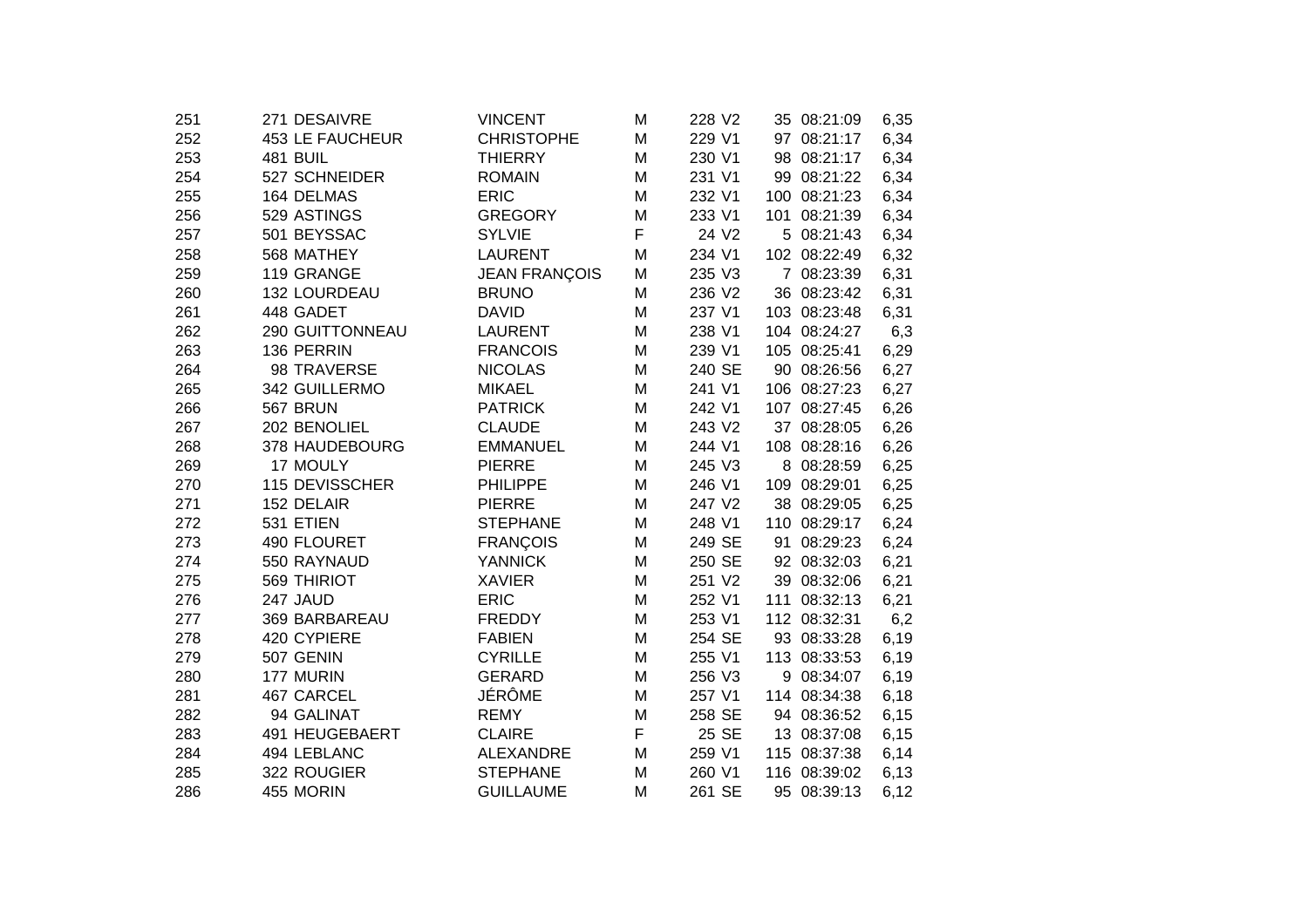| 251 | 271 DESAIVRE           | <b>VINCENT</b>       | M | 228 V2 |     | 35 08:21:09  | 6,35  |
|-----|------------------------|----------------------|---|--------|-----|--------------|-------|
| 252 | <b>453 LE FAUCHEUR</b> | <b>CHRISTOPHE</b>    | M | 229 V1 |     | 97 08:21:17  | 6,34  |
| 253 | 481 BUIL               | <b>THIERRY</b>       | M | 230 V1 |     | 98 08:21:17  | 6,34  |
| 254 | 527 SCHNEIDER          | <b>ROMAIN</b>        | M | 231 V1 | 99  | 08:21:22     | 6,34  |
| 255 | 164 DELMAS             | <b>ERIC</b>          | M | 232 V1 | 100 | 08:21:23     | 6,34  |
| 256 | 529 ASTINGS            | <b>GREGORY</b>       | M | 233 V1 | 101 | 08:21:39     | 6,34  |
| 257 | 501 BEYSSAC            | <b>SYLVIE</b>        | F | 24 V2  |     | 5 08:21:43   | 6,34  |
| 258 | 568 MATHEY             | <b>LAURENT</b>       | M | 234 V1 |     | 102 08:22:49 | 6,32  |
| 259 | 119 GRANGE             | <b>JEAN FRANÇOIS</b> | M | 235 V3 |     | 7 08:23:39   | 6,31  |
| 260 | 132 LOURDEAU           | <b>BRUNO</b>         | M | 236 V2 |     | 36 08:23:42  | 6,31  |
| 261 | 448 GADET              | <b>DAVID</b>         | M | 237 V1 |     | 103 08:23:48 | 6,31  |
| 262 | 290 GUITTONNEAU        | <b>LAURENT</b>       | M | 238 V1 |     | 104 08:24:27 | 6,3   |
| 263 | 136 PERRIN             | <b>FRANCOIS</b>      | M | 239 V1 |     | 105 08:25:41 | 6,29  |
| 264 | 98 TRAVERSE            | <b>NICOLAS</b>       | M | 240 SE |     | 90 08:26:56  | 6,27  |
| 265 | 342 GUILLERMO          | <b>MIKAEL</b>        | M | 241 V1 |     | 106 08:27:23 | 6,27  |
| 266 | 567 BRUN               | <b>PATRICK</b>       | M | 242 V1 |     | 107 08:27:45 | 6,26  |
| 267 | 202 BENOLIEL           | <b>CLAUDE</b>        | M | 243 V2 | 37  | 08:28:05     | 6,26  |
| 268 | 378 HAUDEBOURG         | <b>EMMANUEL</b>      | M | 244 V1 |     | 108 08:28:16 | 6,26  |
| 269 | 17 MOULY               | <b>PIERRE</b>        | M | 245 V3 |     | 8 08:28:59   | 6,25  |
| 270 | 115 DEVISSCHER         | <b>PHILIPPE</b>      | M | 246 V1 |     | 109 08:29:01 | 6,25  |
| 271 | 152 DELAIR             | <b>PIERRE</b>        | M | 247 V2 |     | 38 08:29:05  | 6,25  |
| 272 | 531 ETIEN              | <b>STEPHANE</b>      | M | 248 V1 |     | 110 08:29:17 | 6,24  |
| 273 | 490 FLOURET            | <b>FRANÇOIS</b>      | M | 249 SE | 91  | 08:29:23     | 6,24  |
| 274 | 550 RAYNAUD            | <b>YANNICK</b>       | M | 250 SE |     | 92 08:32:03  | 6,21  |
| 275 | <b>569 THIRIOT</b>     | <b>XAVIER</b>        | M | 251 V2 |     | 39 08:32:06  | 6,21  |
| 276 | 247 JAUD               | <b>ERIC</b>          | M | 252 V1 | 111 | 08:32:13     | 6,21  |
| 277 | 369 BARBAREAU          | <b>FREDDY</b>        | M | 253 V1 |     | 112 08:32:31 | 6,2   |
| 278 | 420 CYPIERE            | <b>FABIEN</b>        | M | 254 SE |     | 93 08:33:28  | 6,19  |
| 279 | 507 GENIN              | <b>CYRILLE</b>       | M | 255 V1 |     | 113 08:33:53 | 6,19  |
| 280 | 177 MURIN              | <b>GERARD</b>        | M | 256 V3 |     | 9 08:34:07   | 6,19  |
| 281 | 467 CARCEL             | JÉRÔME               | M | 257 V1 |     | 114 08:34:38 | 6,18  |
| 282 | 94 GALINAT             | <b>REMY</b>          | M | 258 SE |     | 94 08:36:52  | 6, 15 |
| 283 | 491 HEUGEBAERT         | <b>CLAIRE</b>        | F | 25 SE  |     | 13 08:37:08  | 6,15  |
| 284 | 494 LEBLANC            | <b>ALEXANDRE</b>     | M | 259 V1 |     | 115 08:37:38 | 6,14  |
| 285 | 322 ROUGIER            | <b>STEPHANE</b>      | M | 260 V1 |     | 116 08:39:02 | 6,13  |
| 286 | 455 MORIN              | <b>GUILLAUME</b>     | M | 261 SE |     | 95 08:39:13  | 6,12  |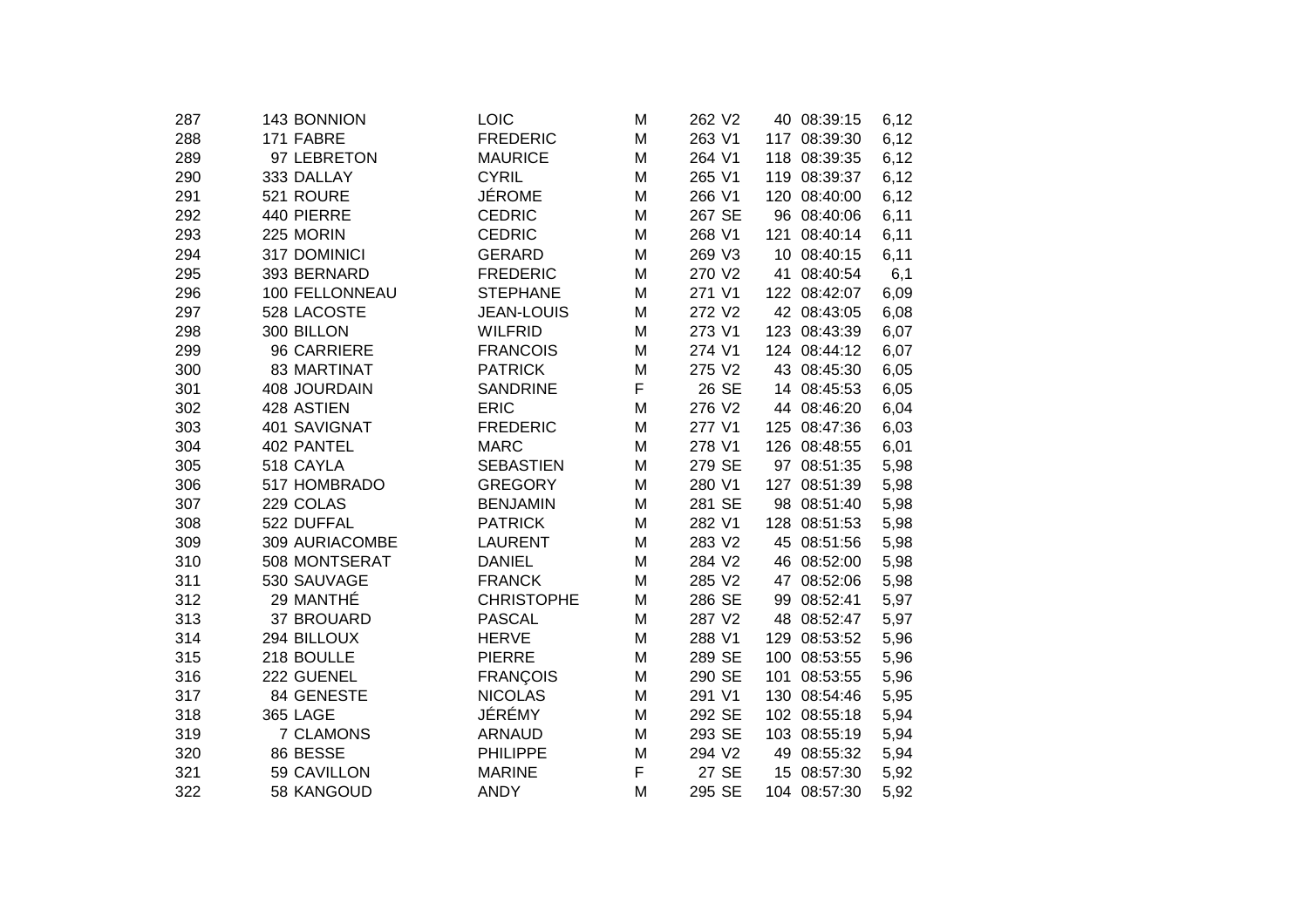| 143 BONNION      | <b>LOIC</b>                             | M                        | 262 V2 |                                      |          | 6,12                                                                                                                                                                                                                                                                                                                                                                                                                                                                                                                                                         |
|------------------|-----------------------------------------|--------------------------|--------|--------------------------------------|----------|--------------------------------------------------------------------------------------------------------------------------------------------------------------------------------------------------------------------------------------------------------------------------------------------------------------------------------------------------------------------------------------------------------------------------------------------------------------------------------------------------------------------------------------------------------------|
| 171 FABRE        | <b>FREDERIC</b>                         | M                        | 263 V1 |                                      |          | 6,12                                                                                                                                                                                                                                                                                                                                                                                                                                                                                                                                                         |
| 97 LEBRETON      | <b>MAURICE</b>                          | M                        | 264 V1 |                                      |          | 6,12                                                                                                                                                                                                                                                                                                                                                                                                                                                                                                                                                         |
| 333 DALLAY       | <b>CYRIL</b>                            | M                        | 265 V1 |                                      |          | 6,12                                                                                                                                                                                                                                                                                                                                                                                                                                                                                                                                                         |
| 521 ROURE        | <b>JÉROME</b>                           | M                        | 266 V1 |                                      |          | 6,12                                                                                                                                                                                                                                                                                                                                                                                                                                                                                                                                                         |
| 440 PIERRE       | <b>CEDRIC</b>                           | M                        | 267 SE |                                      |          | 6,11                                                                                                                                                                                                                                                                                                                                                                                                                                                                                                                                                         |
| 225 MORIN        | <b>CEDRIC</b>                           | M                        | 268 V1 |                                      | 08:40:14 | 6,11                                                                                                                                                                                                                                                                                                                                                                                                                                                                                                                                                         |
| 317 DOMINICI     | <b>GERARD</b>                           | M                        | 269 V3 |                                      |          | 6,11                                                                                                                                                                                                                                                                                                                                                                                                                                                                                                                                                         |
| 393 BERNARD      | <b>FREDERIC</b>                         | M                        | 270 V2 |                                      |          | 6,1                                                                                                                                                                                                                                                                                                                                                                                                                                                                                                                                                          |
| 100 FELLONNEAU   | <b>STEPHANE</b>                         | M                        | 271 V1 |                                      |          | 6,09                                                                                                                                                                                                                                                                                                                                                                                                                                                                                                                                                         |
| 528 LACOSTE      | <b>JEAN-LOUIS</b>                       | M                        | 272 V2 |                                      |          | 6,08                                                                                                                                                                                                                                                                                                                                                                                                                                                                                                                                                         |
| 300 BILLON       | <b>WILFRID</b>                          | M                        | 273 V1 |                                      |          | 6,07                                                                                                                                                                                                                                                                                                                                                                                                                                                                                                                                                         |
| 96 CARRIERE      | <b>FRANCOIS</b>                         | M                        | 274 V1 |                                      |          | 6,07                                                                                                                                                                                                                                                                                                                                                                                                                                                                                                                                                         |
| 83 MARTINAT      | <b>PATRICK</b>                          | M                        | 275 V2 |                                      |          | 6,05                                                                                                                                                                                                                                                                                                                                                                                                                                                                                                                                                         |
| 408 JOURDAIN     | <b>SANDRINE</b>                         | F                        | 26 SE  |                                      |          | 6,05                                                                                                                                                                                                                                                                                                                                                                                                                                                                                                                                                         |
| 428 ASTIEN       | <b>ERIC</b>                             | M                        | 276 V2 |                                      |          | 6,04                                                                                                                                                                                                                                                                                                                                                                                                                                                                                                                                                         |
| 401 SAVIGNAT     | <b>FREDERIC</b>                         | M                        | 277 V1 |                                      |          | 6,03                                                                                                                                                                                                                                                                                                                                                                                                                                                                                                                                                         |
| 402 PANTEL       | <b>MARC</b>                             | M                        | 278 V1 |                                      |          | 6,01                                                                                                                                                                                                                                                                                                                                                                                                                                                                                                                                                         |
| 518 CAYLA        | <b>SEBASTIEN</b>                        | M                        | 279 SE |                                      |          | 5,98                                                                                                                                                                                                                                                                                                                                                                                                                                                                                                                                                         |
| 517 HOMBRADO     | <b>GREGORY</b>                          | M                        | 280 V1 |                                      | 08:51:39 | 5,98                                                                                                                                                                                                                                                                                                                                                                                                                                                                                                                                                         |
| 229 COLAS        | <b>BENJAMIN</b>                         | M                        | 281 SE |                                      |          | 5,98                                                                                                                                                                                                                                                                                                                                                                                                                                                                                                                                                         |
| 522 DUFFAL       | <b>PATRICK</b>                          | M                        | 282 V1 |                                      |          | 5,98                                                                                                                                                                                                                                                                                                                                                                                                                                                                                                                                                         |
| 309 AURIACOMBE   | <b>LAURENT</b>                          | M                        | 283 V2 |                                      |          | 5,98                                                                                                                                                                                                                                                                                                                                                                                                                                                                                                                                                         |
| 508 MONTSERAT    | <b>DANIEL</b>                           | M                        | 284 V2 |                                      |          | 5,98                                                                                                                                                                                                                                                                                                                                                                                                                                                                                                                                                         |
| 530 SAUVAGE      | <b>FRANCK</b>                           | M                        | 285 V2 |                                      |          | 5,98                                                                                                                                                                                                                                                                                                                                                                                                                                                                                                                                                         |
| 29 MANTHÉ        | <b>CHRISTOPHE</b>                       | M                        | 286 SE |                                      |          | 5,97                                                                                                                                                                                                                                                                                                                                                                                                                                                                                                                                                         |
| 37 BROUARD       | <b>PASCAL</b>                           | M                        | 287 V2 |                                      |          | 5,97                                                                                                                                                                                                                                                                                                                                                                                                                                                                                                                                                         |
|                  | <b>HERVE</b>                            | M                        | 288 V1 |                                      |          | 5,96                                                                                                                                                                                                                                                                                                                                                                                                                                                                                                                                                         |
|                  | <b>PIERRE</b>                           | M                        |        |                                      |          | 5,96                                                                                                                                                                                                                                                                                                                                                                                                                                                                                                                                                         |
| 222 GUENEL       | <b>FRANÇOIS</b>                         | M                        |        |                                      |          | 5,96                                                                                                                                                                                                                                                                                                                                                                                                                                                                                                                                                         |
|                  |                                         | M                        |        |                                      |          | 5,95                                                                                                                                                                                                                                                                                                                                                                                                                                                                                                                                                         |
| 365 LAGE         |                                         | M                        |        |                                      |          | 5,94                                                                                                                                                                                                                                                                                                                                                                                                                                                                                                                                                         |
| <b>7 CLAMONS</b> | <b>ARNAUD</b>                           | M                        | 293 SE |                                      |          | 5,94                                                                                                                                                                                                                                                                                                                                                                                                                                                                                                                                                         |
| 86 BESSE         | <b>PHILIPPE</b>                         | M                        | 294 V2 |                                      |          | 5,94                                                                                                                                                                                                                                                                                                                                                                                                                                                                                                                                                         |
| 59 CAVILLON      | <b>MARINE</b>                           | F                        | 27 SE  |                                      |          | 5,92                                                                                                                                                                                                                                                                                                                                                                                                                                                                                                                                                         |
| 58 KANGOUD       | <b>ANDY</b>                             | M                        | 295 SE |                                      |          | 5,92                                                                                                                                                                                                                                                                                                                                                                                                                                                                                                                                                         |
|                  | 294 BILLOUX<br>218 BOULLE<br>84 GENESTE | <b>NICOLAS</b><br>JÉRÉMY |        | 289 SE<br>290 SE<br>291 V1<br>292 SE |          | 40 08:39:15<br>117 08:39:30<br>118 08:39:35<br>119 08:39:37<br>120 08:40:00<br>96 08:40:06<br>121<br>10 08:40:15<br>41 08:40:54<br>122 08:42:07<br>42 08:43:05<br>123 08:43:39<br>124 08:44:12<br>43 08:45:30<br>14 08:45:53<br>44 08:46:20<br>125 08:47:36<br>126 08:48:55<br>97 08:51:35<br>127<br>98 08:51:40<br>128 08:51:53<br>45 08:51:56<br>46 08:52:00<br>47 08:52:06<br>99 08:52:41<br>48 08:52:47<br>129 08:53:52<br>100 08:53:55<br>08:53:55<br>101<br>130 08:54:46<br>102 08:55:18<br>103 08:55:19<br>49 08:55:32<br>15 08:57:30<br>104 08:57:30 |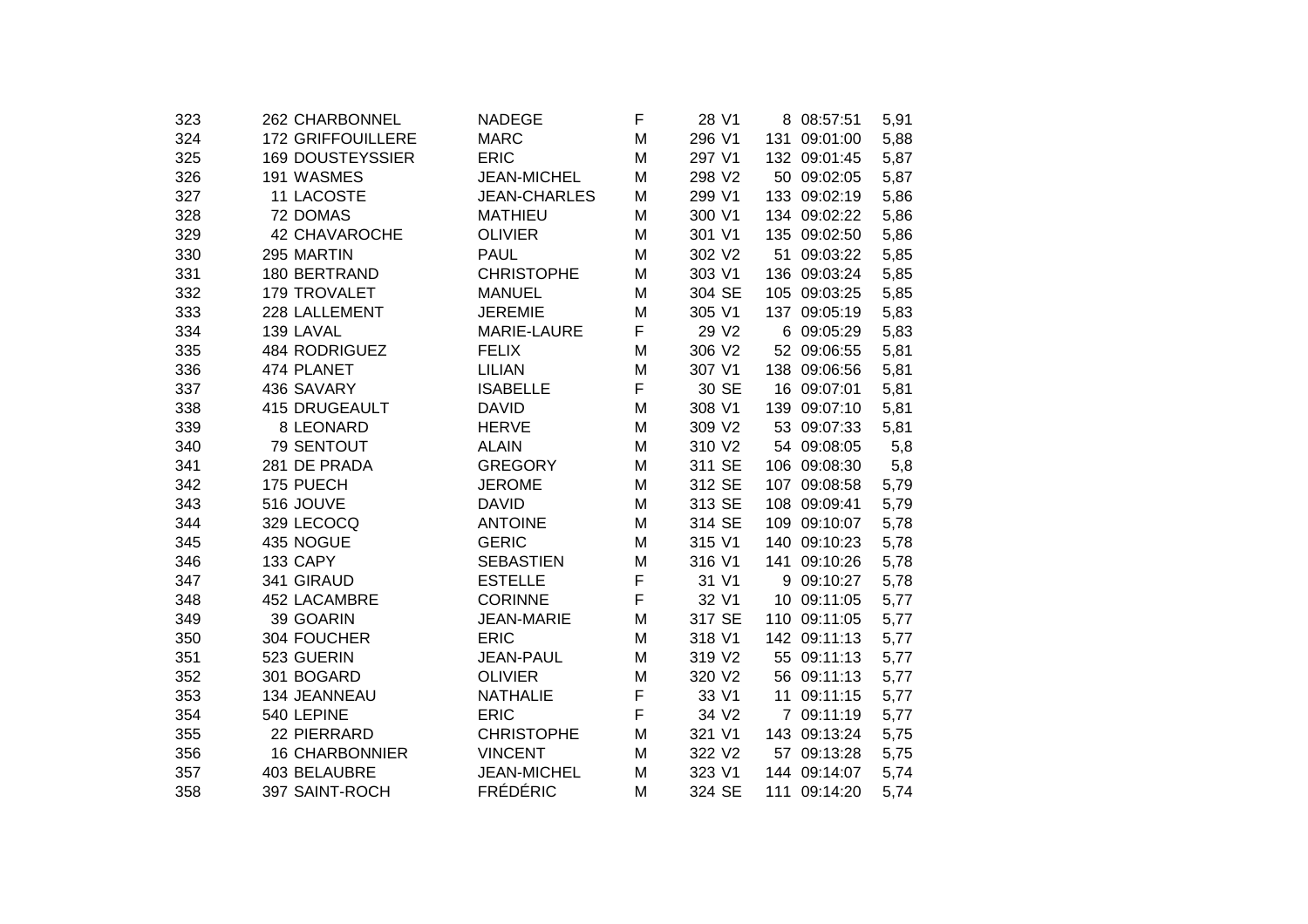| 323 | 262 CHARBONNEL           | <b>NADEGE</b>       | F | 28 V1  | 8 08:57:51     | 5,91 |
|-----|--------------------------|---------------------|---|--------|----------------|------|
| 324 | <b>172 GRIFFOUILLERE</b> | <b>MARC</b>         | M | 296 V1 | 131 09:01:00   | 5,88 |
| 325 | <b>169 DOUSTEYSSIER</b>  | <b>ERIC</b>         | M | 297 V1 | 132 09:01:45   | 5,87 |
| 326 | 191 WASMES               | <b>JEAN-MICHEL</b>  | M | 298 V2 | 50 09:02:05    | 5,87 |
| 327 | 11 LACOSTE               | <b>JEAN-CHARLES</b> | M | 299 V1 | 133 09:02:19   | 5,86 |
| 328 | 72 DOMAS                 | <b>MATHIEU</b>      | M | 300 V1 | 134 09:02:22   | 5,86 |
| 329 | 42 CHAVAROCHE            | <b>OLIVIER</b>      | M | 301 V1 | 135 09:02:50   | 5,86 |
| 330 | 295 MARTIN               | <b>PAUL</b>         | M | 302 V2 | 51 09:03:22    | 5,85 |
| 331 | 180 BERTRAND             | <b>CHRISTOPHE</b>   | M | 303 V1 | 136 09:03:24   | 5,85 |
| 332 | 179 TROVALET             | <b>MANUEL</b>       | M | 304 SE | 105 09:03:25   | 5,85 |
| 333 | 228 LALLEMENT            | <b>JEREMIE</b>      | M | 305 V1 | 137 09:05:19   | 5,83 |
| 334 | 139 LAVAL                | MARIE-LAURE         | F | 29 V2  | 6 09:05:29     | 5,83 |
| 335 | 484 RODRIGUEZ            | <b>FELIX</b>        | M | 306 V2 | 52 09:06:55    | 5,81 |
| 336 | 474 PLANET               | <b>LILIAN</b>       | M | 307 V1 | 138 09:06:56   | 5,81 |
| 337 | 436 SAVARY               | <b>ISABELLE</b>     | F | 30 SE  | 16 09:07:01    | 5,81 |
| 338 | 415 DRUGEAULT            | <b>DAVID</b>        | M | 308 V1 | 139 09:07:10   | 5,81 |
| 339 | 8 LEONARD                | <b>HERVE</b>        | M | 309 V2 | 53 09:07:33    | 5,81 |
| 340 | 79 SENTOUT               | <b>ALAIN</b>        | M | 310 V2 | 54 09:08:05    | 5,8  |
| 341 | 281 DE PRADA             | <b>GREGORY</b>      | M | 311 SE | 106 09:08:30   | 5,8  |
| 342 | 175 PUECH                | <b>JEROME</b>       | M | 312 SE | 107 09:08:58   | 5,79 |
| 343 | 516 JOUVE                | <b>DAVID</b>        | M | 313 SE | 108 09:09:41   | 5,79 |
| 344 | 329 LECOCQ               | <b>ANTOINE</b>      | M | 314 SE | 109 09:10:07   | 5,78 |
| 345 | 435 NOGUE                | <b>GERIC</b>        | M | 315 V1 | 140 09:10:23   | 5,78 |
| 346 | 133 CAPY                 | <b>SEBASTIEN</b>    | M | 316 V1 | 141 09:10:26   | 5,78 |
| 347 | 341 GIRAUD               | <b>ESTELLE</b>      | F | 31 V1  | 9 09:10:27     | 5,78 |
| 348 | 452 LACAMBRE             | <b>CORINNE</b>      | F | 32 V1  | 10 09:11:05    | 5,77 |
| 349 | 39 GOARIN                | <b>JEAN-MARIE</b>   | M | 317 SE | 110 09:11:05   | 5,77 |
| 350 | 304 FOUCHER              | <b>ERIC</b>         | M | 318 V1 | 142 09:11:13   | 5,77 |
| 351 | 523 GUERIN               | <b>JEAN-PAUL</b>    | M | 319 V2 | 55 09:11:13    | 5,77 |
| 352 | 301 BOGARD               | <b>OLIVIER</b>      | M | 320 V2 | 56 09:11:13    | 5,77 |
| 353 | 134 JEANNEAU             | <b>NATHALIE</b>     | F | 33 V1  | 09:11:15<br>11 | 5,77 |
| 354 | 540 LEPINE               | <b>ERIC</b>         | F | 34 V2  | 7 09:11:19     | 5,77 |
| 355 | 22 PIERRARD              | <b>CHRISTOPHE</b>   | M | 321 V1 | 143 09:13:24   | 5,75 |
| 356 | <b>16 CHARBONNIER</b>    | <b>VINCENT</b>      | M | 322 V2 | 57 09:13:28    | 5,75 |
| 357 | 403 BELAUBRE             | JEAN-MICHEL         | M | 323 V1 | 144 09:14:07   | 5,74 |
| 358 | 397 SAINT-ROCH           | <b>FRÉDÉRIC</b>     | M | 324 SE | 111 09:14:20   | 5,74 |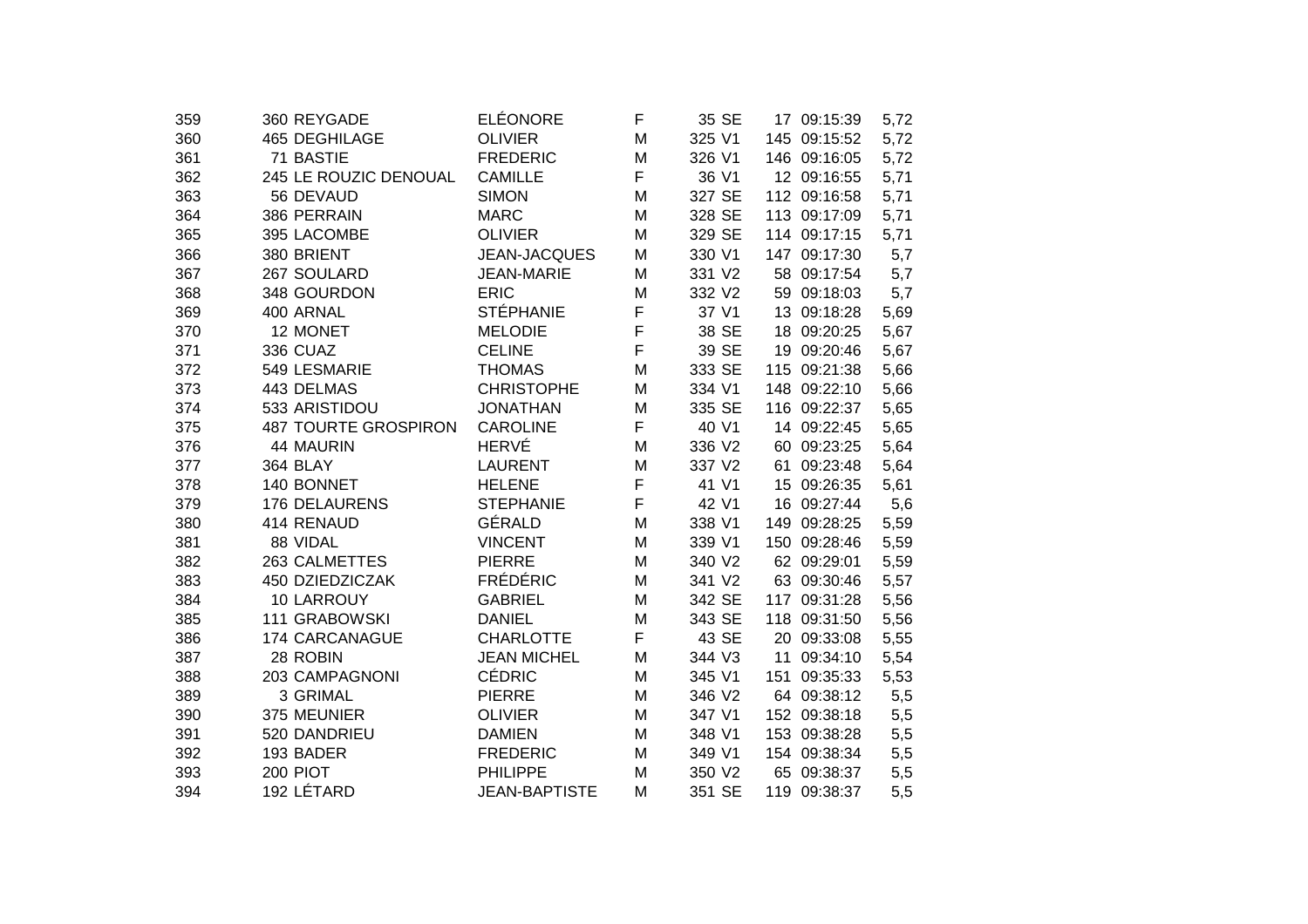| 359 | 360 REYGADE                 | <b>ELÉONORE</b>      | F | 35 SE  | 17 09:15:39  | 5,72 |
|-----|-----------------------------|----------------------|---|--------|--------------|------|
| 360 | 465 DEGHILAGE               | <b>OLIVIER</b>       | M | 325 V1 | 145 09:15:52 | 5,72 |
| 361 | 71 BASTIE                   | <b>FREDERIC</b>      | M | 326 V1 | 146 09:16:05 | 5,72 |
| 362 | 245 LE ROUZIC DENOUAL       | <b>CAMILLE</b>       | F | 36 V1  | 12 09:16:55  | 5,71 |
| 363 | 56 DEVAUD                   | <b>SIMON</b>         | M | 327 SE | 112 09:16:58 | 5,71 |
| 364 | 386 PERRAIN                 | <b>MARC</b>          | M | 328 SE | 113 09:17:09 | 5,71 |
| 365 | 395 LACOMBE                 | <b>OLIVIER</b>       | M | 329 SE | 114 09:17:15 | 5,71 |
| 366 | 380 BRIENT                  | <b>JEAN-JACQUES</b>  | Μ | 330 V1 | 147 09:17:30 | 5,7  |
| 367 | 267 SOULARD                 | <b>JEAN-MARIE</b>    | M | 331 V2 | 58 09:17:54  | 5,7  |
| 368 | 348 GOURDON                 | <b>ERIC</b>          | M | 332 V2 | 59 09:18:03  | 5,7  |
| 369 | 400 ARNAL                   | <b>STÉPHANIE</b>     | F | 37 V1  | 13 09:18:28  | 5,69 |
| 370 | 12 MONET                    | <b>MELODIE</b>       | F | 38 SE  | 18 09:20:25  | 5,67 |
| 371 | 336 CUAZ                    | <b>CELINE</b>        | F | 39 SE  | 19 09:20:46  | 5,67 |
| 372 | 549 LESMARIE                | <b>THOMAS</b>        | M | 333 SE | 115 09:21:38 | 5,66 |
| 373 | 443 DELMAS                  | <b>CHRISTOPHE</b>    | M | 334 V1 | 148 09:22:10 | 5,66 |
| 374 | 533 ARISTIDOU               | <b>JONATHAN</b>      | M | 335 SE | 116 09:22:37 | 5,65 |
| 375 | <b>487 TOURTE GROSPIRON</b> | <b>CAROLINE</b>      | F | 40 V1  | 14 09:22:45  | 5,65 |
| 376 | 44 MAURIN                   | <b>HERVÉ</b>         | M | 336 V2 | 60 09:23:25  | 5,64 |
| 377 | 364 BLAY                    | <b>LAURENT</b>       | M | 337 V2 | 61 09:23:48  | 5,64 |
| 378 | 140 BONNET                  | <b>HELENE</b>        | F | 41 V1  | 15 09:26:35  | 5,61 |
| 379 | 176 DELAURENS               | <b>STEPHANIE</b>     | F | 42 V1  | 16 09:27:44  | 5,6  |
| 380 | 414 RENAUD                  | GÉRALD               | M | 338 V1 | 149 09:28:25 | 5,59 |
| 381 | 88 VIDAL                    | <b>VINCENT</b>       | M | 339 V1 | 150 09:28:46 | 5,59 |
| 382 | 263 CALMETTES               | <b>PIERRE</b>        | M | 340 V2 | 62 09:29:01  | 5,59 |
| 383 | 450 DZIEDZICZAK             | <b>FRÉDÉRIC</b>      | M | 341 V2 | 63 09:30:46  | 5,57 |
| 384 | 10 LARROUY                  | <b>GABRIEL</b>       | M | 342 SE | 117 09:31:28 | 5,56 |
| 385 | 111 GRABOWSKI               | <b>DANIEL</b>        | M | 343 SE | 118 09:31:50 | 5,56 |
| 386 | 174 CARCANAGUE              | <b>CHARLOTTE</b>     | F | 43 SE  | 20 09:33:08  | 5,55 |
| 387 | 28 ROBIN                    | <b>JEAN MICHEL</b>   | M | 344 V3 | 11 09:34:10  | 5,54 |
| 388 | 203 CAMPAGNONI              | <b>CÉDRIC</b>        | M | 345 V1 | 151 09:35:33 | 5,53 |
| 389 | 3 GRIMAL                    | <b>PIERRE</b>        | Μ | 346 V2 | 64 09:38:12  | 5,5  |
| 390 | 375 MEUNIER                 | <b>OLIVIER</b>       | M | 347 V1 | 152 09:38:18 | 5,5  |
| 391 | 520 DANDRIEU                | <b>DAMIEN</b>        | Μ | 348 V1 | 153 09:38:28 | 5,5  |
| 392 | 193 BADER                   | <b>FREDERIC</b>      | M | 349 V1 | 154 09:38:34 | 5,5  |
| 393 | 200 PIOT                    | <b>PHILIPPE</b>      | M | 350 V2 | 65 09:38:37  | 5,5  |
| 394 | 192 LÉTARD                  | <b>JEAN-BAPTISTE</b> | M | 351 SE | 119 09:38:37 | 5,5  |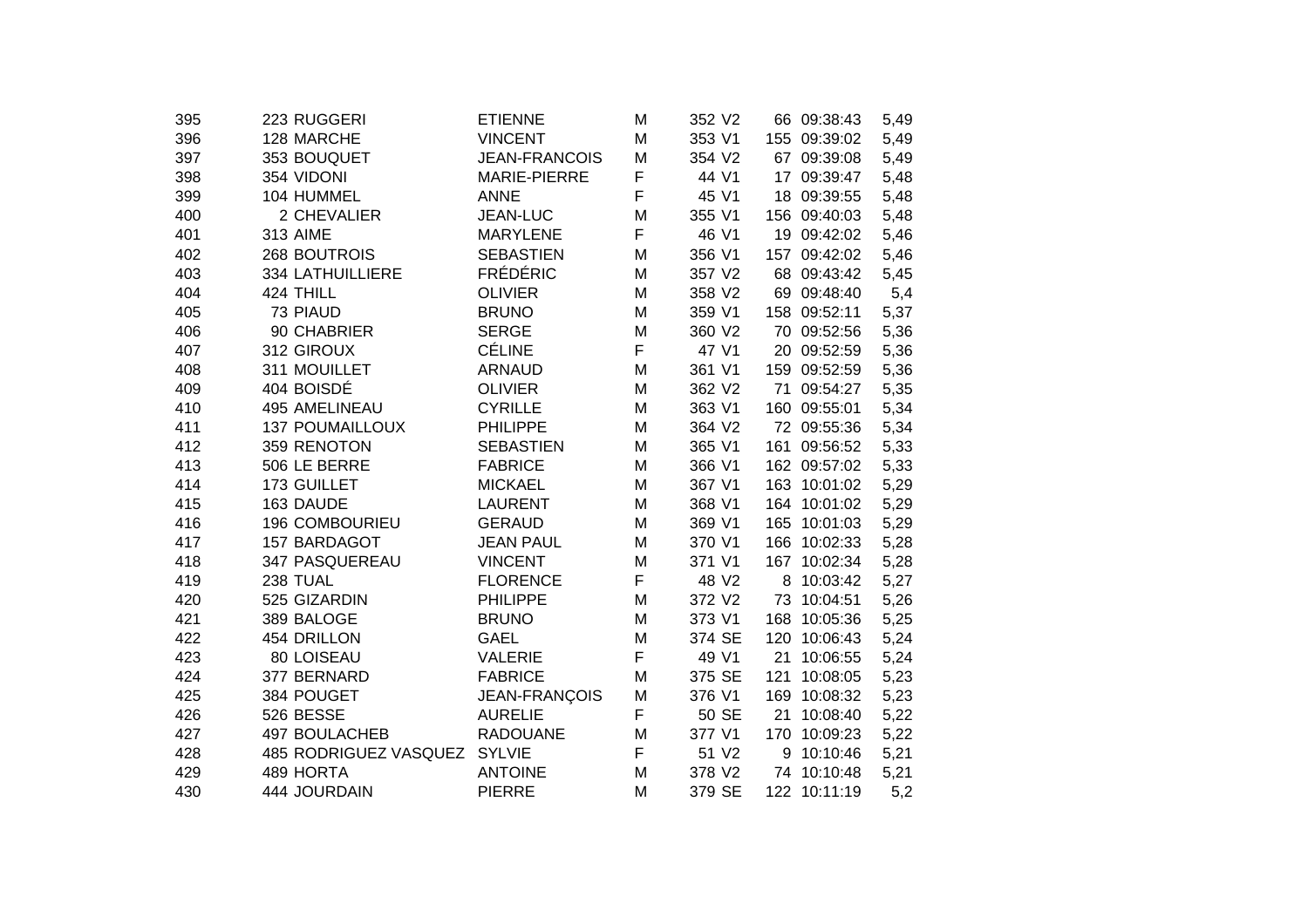| 395 | 223 RUGGERI            | <b>ETIENNE</b>       | M | 352 V2 |     | 66 09:38:43  | 5,49 |
|-----|------------------------|----------------------|---|--------|-----|--------------|------|
| 396 | 128 MARCHE             | <b>VINCENT</b>       | M | 353 V1 |     | 155 09:39:02 | 5,49 |
| 397 | 353 BOUQUET            | <b>JEAN-FRANCOIS</b> | M | 354 V2 |     | 67 09:39:08  | 5,49 |
| 398 | 354 VIDONI             | MARIE-PIERRE         | F | 44 V1  |     | 17 09:39:47  | 5,48 |
| 399 | 104 HUMMEL             | <b>ANNE</b>          | F | 45 V1  |     | 18 09:39:55  | 5,48 |
| 400 | 2 CHEVALIER            | <b>JEAN-LUC</b>      | M | 355 V1 |     | 156 09:40:03 | 5,48 |
| 401 | <b>313 AIME</b>        | <b>MARYLENE</b>      | F | 46 V1  |     | 19 09:42:02  | 5,46 |
| 402 | 268 BOUTROIS           | <b>SEBASTIEN</b>     | M | 356 V1 | 157 | 09:42:02     | 5,46 |
| 403 | 334 LATHUILLIERE       | <b>FRÉDÉRIC</b>      | M | 357 V2 |     | 68 09:43:42  | 5,45 |
| 404 | 424 THILL              | <b>OLIVIER</b>       | M | 358 V2 |     | 69 09:48:40  | 5,4  |
| 405 | 73 PIAUD               | <b>BRUNO</b>         | M | 359 V1 |     | 158 09:52:11 | 5,37 |
| 406 | 90 CHABRIER            | <b>SERGE</b>         | M | 360 V2 |     | 70 09:52:56  | 5,36 |
| 407 | 312 GIROUX             | <b>CÉLINE</b>        | F | 47 V1  |     | 20 09:52:59  | 5,36 |
| 408 | 311 MOUILLET           | <b>ARNAUD</b>        | M | 361 V1 |     | 159 09:52:59 | 5,36 |
| 409 | 404 BOISDÉ             | <b>OLIVIER</b>       | M | 362 V2 |     | 71 09:54:27  | 5,35 |
| 410 | 495 AMELINEAU          | <b>CYRILLE</b>       | M | 363 V1 |     | 160 09:55:01 | 5,34 |
| 411 | <b>137 POUMAILLOUX</b> | <b>PHILIPPE</b>      | M | 364 V2 |     | 72 09:55:36  | 5,34 |
| 412 | 359 RENOTON            | <b>SEBASTIEN</b>     | M | 365 V1 | 161 | 09:56:52     | 5,33 |
| 413 | 506 LE BERRE           | <b>FABRICE</b>       | M | 366 V1 |     | 162 09:57:02 | 5,33 |
| 414 | 173 GUILLET            | <b>MICKAEL</b>       | M | 367 V1 |     | 163 10:01:02 | 5,29 |
| 415 | 163 DAUDE              | <b>LAURENT</b>       | M | 368 V1 |     | 164 10:01:02 | 5,29 |
| 416 | 196 COMBOURIEU         | <b>GERAUD</b>        | M | 369 V1 |     | 165 10:01:03 | 5,29 |
| 417 | 157 BARDAGOT           | <b>JEAN PAUL</b>     | M | 370 V1 |     | 166 10:02:33 | 5,28 |
| 418 | 347 PASQUEREAU         | <b>VINCENT</b>       | M | 371 V1 |     | 167 10:02:34 | 5,28 |
| 419 | 238 TUAL               | <b>FLORENCE</b>      | F | 48 V2  | 8   | 10:03:42     | 5,27 |
| 420 | 525 GIZARDIN           | <b>PHILIPPE</b>      | M | 372 V2 |     | 73 10:04:51  | 5,26 |
| 421 | 389 BALOGE             | <b>BRUNO</b>         | M | 373 V1 |     | 168 10:05:36 | 5,25 |
| 422 | 454 DRILLON            | <b>GAEL</b>          | M | 374 SE | 120 | 10:06:43     | 5,24 |
| 423 | 80 LOISEAU             | <b>VALERIE</b>       | F | 49 V1  | 21  | 10:06:55     | 5,24 |
| 424 | 377 BERNARD            | <b>FABRICE</b>       | M | 375 SE | 121 | 10:08:05     | 5,23 |
| 425 | 384 POUGET             | JEAN-FRANÇOIS        | M | 376 V1 |     | 169 10:08:32 | 5,23 |
| 426 | 526 BESSE              | <b>AURELIE</b>       | F | 50 SE  | 21  | 10:08:40     | 5,22 |
| 427 | 497 BOULACHEB          | <b>RADOUANE</b>      | M | 377 V1 |     | 170 10:09:23 | 5,22 |
| 428 | 485 RODRIGUEZ VASQUEZ  | <b>SYLVIE</b>        | F | 51 V2  | 9   | 10:10:46     | 5,21 |
| 429 | 489 HORTA              | <b>ANTOINE</b>       | M | 378 V2 |     | 74 10:10:48  | 5,21 |
| 430 | 444 JOURDAIN           | <b>PIERRE</b>        | M | 379 SE |     | 122 10:11:19 | 5,2  |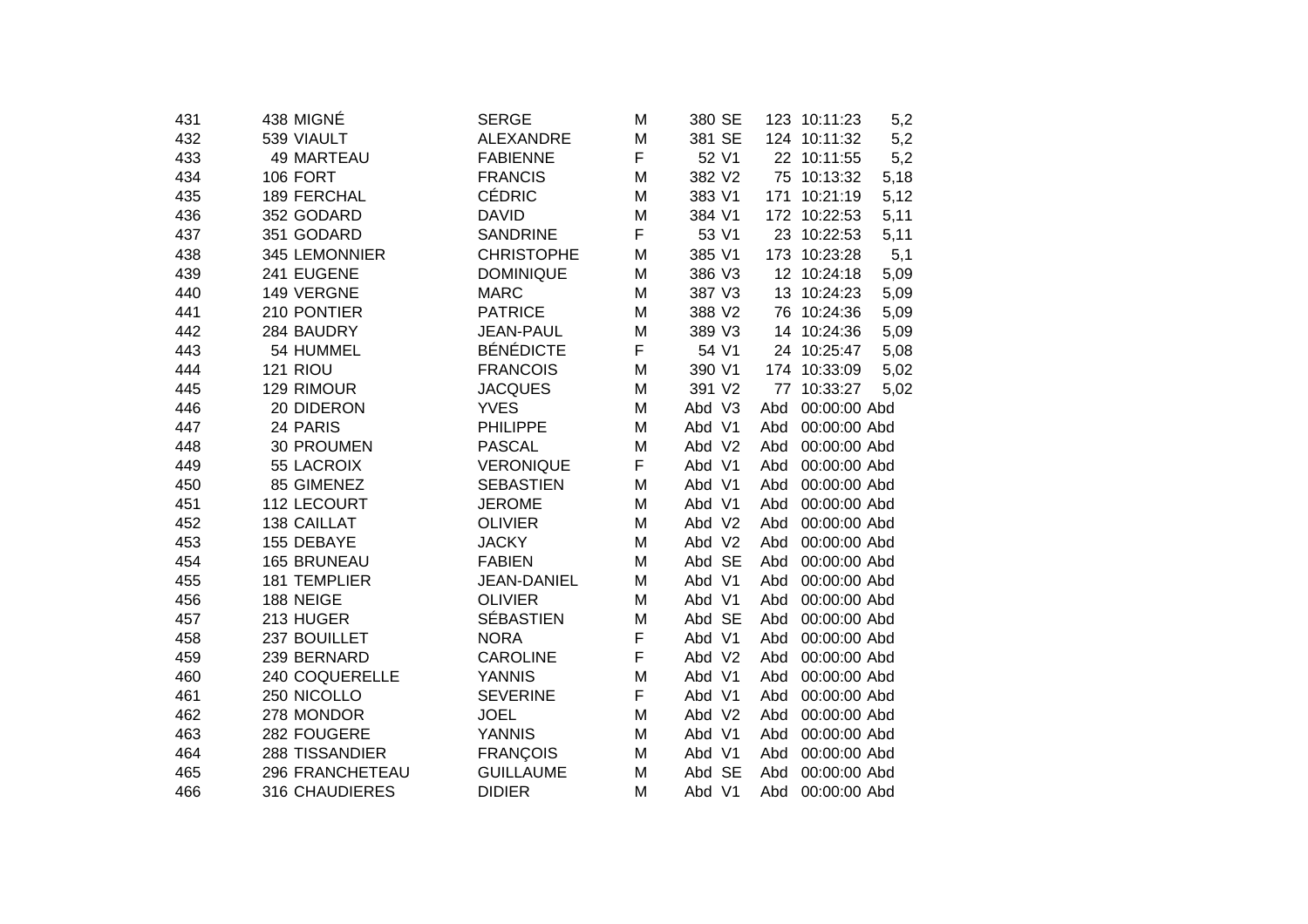| 431 | 438 MIGNÉ           | <b>SERGE</b>      | M | 380 SE |     | 123 10:11:23 | 5,2  |
|-----|---------------------|-------------------|---|--------|-----|--------------|------|
| 432 | 539 VIAULT          | <b>ALEXANDRE</b>  | M | 381 SE |     | 124 10:11:32 | 5,2  |
| 433 | 49 MARTEAU          | <b>FABIENNE</b>   | F | 52 V1  |     | 22 10:11:55  | 5,2  |
| 434 | <b>106 FORT</b>     | <b>FRANCIS</b>    | M | 382 V2 |     | 75 10:13:32  | 5,18 |
| 435 | 189 FERCHAL         | <b>CÉDRIC</b>     | M | 383 V1 |     | 171 10:21:19 | 5,12 |
| 436 | 352 GODARD          | <b>DAVID</b>      | M | 384 V1 |     | 172 10:22:53 | 5,11 |
| 437 | 351 GODARD          | <b>SANDRINE</b>   | F | 53 V1  |     | 23 10:22:53  | 5,11 |
| 438 | 345 LEMONNIER       | <b>CHRISTOPHE</b> | M | 385 V1 |     | 173 10:23:28 | 5,1  |
| 439 | 241 EUGENE          | <b>DOMINIQUE</b>  | M | 386 V3 |     | 12 10:24:18  | 5,09 |
| 440 | 149 VERGNE          | <b>MARC</b>       | M | 387 V3 |     | 13 10:24:23  | 5,09 |
| 441 | 210 PONTIER         | <b>PATRICE</b>    | M | 388 V2 |     | 76 10:24:36  | 5,09 |
| 442 | 284 BAUDRY          | <b>JEAN-PAUL</b>  | M | 389 V3 |     | 14 10:24:36  | 5,09 |
| 443 | 54 HUMMEL           | <b>BÉNÉDICTE</b>  | F | 54 V1  |     | 24 10:25:47  | 5,08 |
| 444 | 121 RIOU            | <b>FRANCOIS</b>   | M | 390 V1 |     | 174 10:33:09 | 5,02 |
| 445 | 129 RIMOUR          | <b>JACQUES</b>    | M | 391 V2 | 77  | 10:33:27     | 5,02 |
| 446 | 20 DIDERON          | <b>YVES</b>       | M | Abd V3 | Abd | 00:00:00 Abd |      |
| 447 | 24 PARIS            | <b>PHILIPPE</b>   | M | Abd V1 | Abd | 00:00:00 Abd |      |
| 448 | 30 PROUMEN          | <b>PASCAL</b>     | M | Abd V2 | Abd | 00:00:00 Abd |      |
| 449 | 55 LACROIX          | <b>VERONIQUE</b>  | F | Abd V1 | Abd | 00:00:00 Abd |      |
| 450 | 85 GIMENEZ          | <b>SEBASTIEN</b>  | M | Abd V1 | Abd | 00:00:00 Abd |      |
| 451 | 112 LECOURT         | <b>JEROME</b>     | M | Abd V1 | Abd | 00:00:00 Abd |      |
| 452 | 138 CAILLAT         | <b>OLIVIER</b>    | M | Abd V2 | Abd | 00:00:00 Abd |      |
| 453 | 155 DEBAYE          | <b>JACKY</b>      | M | Abd V2 | Abd | 00:00:00 Abd |      |
| 454 | 165 BRUNEAU         | <b>FABIEN</b>     | M | Abd SE | Abd | 00:00:00 Abd |      |
| 455 | <b>181 TEMPLIER</b> | JEAN-DANIEL       | M | Abd V1 | Abd | 00:00:00 Abd |      |
| 456 | 188 NEIGE           | <b>OLIVIER</b>    | M | Abd V1 | Abd | 00:00:00 Abd |      |
| 457 | 213 HUGER           | <b>SÉBASTIEN</b>  | M | Abd SE | Abd | 00:00:00 Abd |      |
| 458 | 237 BOUILLET        | <b>NORA</b>       | F | Abd V1 | Abd | 00:00:00 Abd |      |
| 459 | 239 BERNARD         | <b>CAROLINE</b>   | F | Abd V2 | Abd | 00:00:00 Abd |      |
| 460 | 240 COQUERELLE      | <b>YANNIS</b>     | M | Abd V1 | Abd | 00:00:00 Abd |      |
| 461 | 250 NICOLLO         | <b>SEVERINE</b>   | F | Abd V1 | Abd | 00:00:00 Abd |      |
| 462 | 278 MONDOR          | <b>JOEL</b>       | M | Abd V2 | Abd | 00:00:00 Abd |      |
| 463 | 282 FOUGERE         | <b>YANNIS</b>     | M | Abd V1 | Abd | 00:00:00 Abd |      |
| 464 | 288 TISSANDIER      | <b>FRANÇOIS</b>   | M | Abd V1 | Abd | 00:00:00 Abd |      |
| 465 | 296 FRANCHETEAU     | <b>GUILLAUME</b>  | M | Abd SE | Abd | 00:00:00 Abd |      |
| 466 | 316 CHAUDIERES      | <b>DIDIER</b>     | Μ | Abd V1 | Abd | 00:00:00 Abd |      |